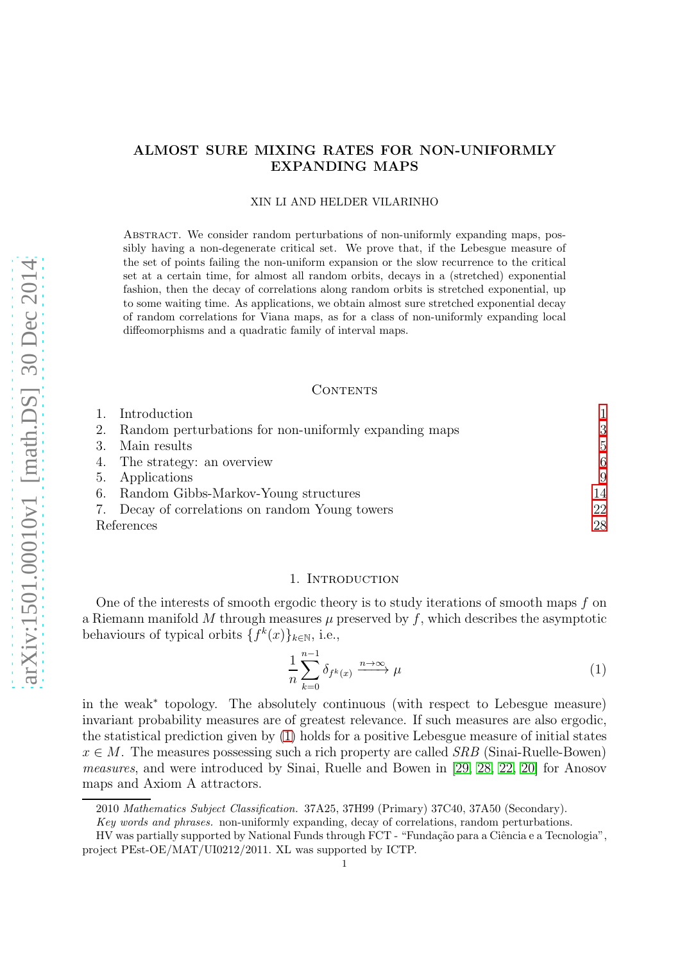# ALMOST SURE MIXING RATES FOR NON-UNIFORMLY EXPANDING MAPS

### XIN LI AND HELDER VILARINHO

Abstract. We consider random perturbations of non-uniformly expanding maps, possibly having a non-degenerate critical set. We prove that, if the Lebesgue measure of the set of points failing the non-uniform expansion or the slow recurrence to the critical set at a certain time, for almost all random orbits, decays in a (stretched) exponential fashion, then the decay of correlations along random orbits is stretched exponential, up to some waiting time. As applications, we obtain almost sure stretched exponential decay of random correlations for Viana maps, as for a class of non-uniformly expanding local diffeomorphisms and a quadratic family of interval maps.

## CONTENTS

|            | Introduction                                          |                |
|------------|-------------------------------------------------------|----------------|
|            | Random perturbations for non-uniformly expanding maps | 3              |
|            | Main results                                          | $\overline{5}$ |
|            | 4. The strategy: an overview                          | 6              |
| 5.         | Applications                                          | 9              |
|            | 6. Random Gibbs-Markov-Young structures               | 14             |
|            | 7. Decay of correlations on random Young towers       | 22             |
| References |                                                       | 28             |

### 1. INTRODUCTION

<span id="page-0-0"></span>One of the interests of smooth ergodic theory is to study iterations of smooth maps f on a Riemann manifold M through measures  $\mu$  preserved by f, which describes the asymptotic behaviours of typical orbits  $\{f^k(x)\}_{k\in\mathbb{N}}$ , i.e.,

<span id="page-0-1"></span>
$$
\frac{1}{n}\sum_{k=0}^{n-1}\delta_{f^k(x)} \xrightarrow{n\to\infty} \mu
$$
\n(1)

in the weak<sup>∗</sup> topology. The absolutely continuous (with respect to Lebesgue measure) invariant probability measures are of greatest relevance. If such measures are also ergodic, the statistical prediction given by [\(1\)](#page-0-1) holds for a positive Lebesgue measure of initial states  $x \in M$ . The measures possessing such a rich property are called SRB (Sinai-Ruelle-Bowen) measures, and were introduced by Sinai, Ruelle and Bowen in [\[29,](#page-28-0) [28,](#page-28-1) [22,](#page-28-2) [20\]](#page-28-3) for Anosov maps and Axiom A attractors.

<sup>2010</sup> Mathematics Subject Classification. 37A25, 37H99 (Primary) 37C40, 37A50 (Secondary).

Key words and phrases. non-uniformly expanding, decay of correlations, random perturbations.

HV was partially supported by National Funds through FCT - "Fundação para a Ciência e a Tecnologia", project PEst-OE/MAT/UI0212/2011. XL was supported by ICTP.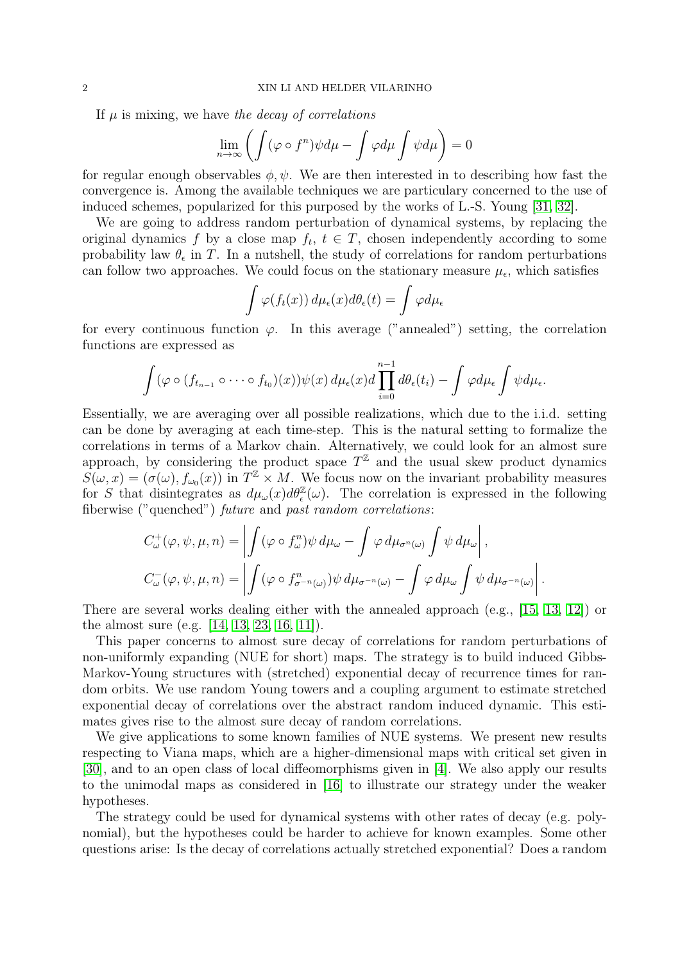If  $\mu$  is mixing, we have the decay of correlations

$$
\lim_{n \to \infty} \left( \int (\varphi \circ f^n) \psi d\mu - \int \varphi d\mu \int \psi d\mu \right) = 0
$$

for regular enough observables  $\phi, \psi$ . We are then interested in to describing how fast the convergence is. Among the available techniques we are particulary concerned to the use of induced schemes, popularized for this purposed by the works of L.-S. Young [\[31,](#page-28-4) [32\]](#page-28-5).

We are going to address random perturbation of dynamical systems, by replacing the original dynamics f by a close map  $f_t$ ,  $t \in T$ , chosen independently according to some probability law  $\theta_{\epsilon}$  in T. In a nutshell, the study of correlations for random perturbations can follow two approaches. We could focus on the stationary measure  $\mu_{\epsilon}$ , which satisfies

$$
\int \varphi(f_t(x))\,d\mu_{\epsilon}(x)d\theta_{\epsilon}(t) = \int \varphi d\mu_{\epsilon}
$$

for every continuous function  $\varphi$ . In this average ("annealed") setting, the correlation functions are expressed as

$$
\int (\varphi \circ (f_{t_{n-1}} \circ \cdots \circ f_{t_0})(x)) \psi(x) d\mu_{\epsilon}(x) d\prod_{i=0}^{n-1} d\theta_{\epsilon}(t_i) - \int \varphi d\mu_{\epsilon} \int \psi d\mu_{\epsilon}.
$$

Essentially, we are averaging over all possible realizations, which due to the i.i.d. setting can be done by averaging at each time-step. This is the natural setting to formalize the correlations in terms of a Markov chain. Alternatively, we could look for an almost sure approach, by considering the product space  $T^{\mathbb{Z}}$  and the usual skew product dynamics  $S(\omega, x) = (\sigma(\omega), f_{\omega_0}(x))$  in  $T^{\mathbb{Z}} \times M$ . We focus now on the invariant probability measures for S that disintegrates as  $d\mu_\omega(x)d\theta_\epsilon^{\mathbb{Z}}(\omega)$ . The correlation is expressed in the following fiberwise ("quenched") future and past random correlations:

$$
C_{\omega}^{+}(\varphi, \psi, \mu, n) = \left| \int (\varphi \circ f_{\omega}^{n}) \psi \, d\mu_{\omega} - \int \varphi \, d\mu_{\sigma^{n}(\omega)} \int \psi \, d\mu_{\omega} \right|,
$$
  

$$
C_{\omega}^{-}(\varphi, \psi, \mu, n) = \left| \int (\varphi \circ f_{\sigma^{-n}(\omega)}^{n}) \psi \, d\mu_{\sigma^{-n}(\omega)} - \int \varphi \, d\mu_{\omega} \int \psi \, d\mu_{\sigma^{-n}(\omega)} \right|.
$$

There are several works dealing either with the annealed approach (e.g., [\[15,](#page-28-6) [13,](#page-28-7) [12\]](#page-28-8)) or the almost sure (e.g. [\[14,](#page-28-9) [13,](#page-28-7) [23,](#page-28-10) [16,](#page-28-11) [11\]](#page-28-12)).

This paper concerns to almost sure decay of correlations for random perturbations of non-uniformly expanding (NUE for short) maps. The strategy is to build induced Gibbs-Markov-Young structures with (stretched) exponential decay of recurrence times for random orbits. We use random Young towers and a coupling argument to estimate stretched exponential decay of correlations over the abstract random induced dynamic. This estimates gives rise to the almost sure decay of random correlations.

We give applications to some known families of NUE systems. We present new results respecting to Viana maps, which are a higher-dimensional maps with critical set given in [\[30\]](#page-28-13), and to an open class of local diffeomorphisms given in [\[4\]](#page-28-14). We also apply our results to the unimodal maps as considered in [\[16\]](#page-28-11) to illustrate our strategy under the weaker hypotheses.

The strategy could be used for dynamical systems with other rates of decay (e.g. polynomial), but the hypotheses could be harder to achieve for known examples. Some other questions arise: Is the decay of correlations actually stretched exponential? Does a random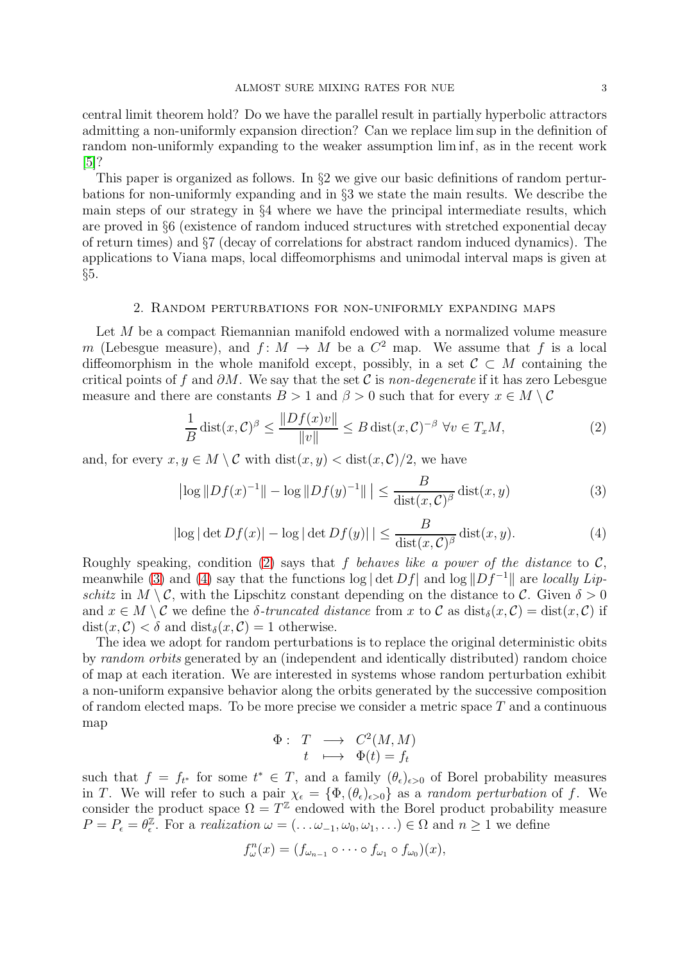central limit theorem hold? Do we have the parallel result in partially hyperbolic attractors admitting a non-uniformly expansion direction? Can we replace lim sup in the definition of random non-uniformly expanding to the weaker assumption lim inf, as in the recent work [\[5\]](#page-28-15)?

This paper is organized as follows. In  $\S 2$  we give our basic definitions of random perturbations for non-uniformly expanding and in §3 we state the main results. We describe the main steps of our strategy in §4 where we have the principal intermediate results, which are proved in §6 (existence of random induced structures with stretched exponential decay of return times) and §7 (decay of correlations for abstract random induced dynamics). The applications to Viana maps, local diffeomorphisms and unimodal interval maps is given at §5.

## 2. Random perturbations for non-uniformly expanding maps

<span id="page-2-0"></span>Let M be a compact Riemannian manifold endowed with a normalized volume measure m (Lebesgue measure), and  $f: M \to M$  be a  $C^2$  map. We assume that f is a local diffeomorphism in the whole manifold except, possibly, in a set  $\mathcal{C} \subset M$  containing the critical points of f and  $\partial M$ . We say that the set C is non-degenerate if it has zero Lebesgue measure and there are constants  $B > 1$  and  $\beta > 0$  such that for every  $x \in M \setminus C$ 

<span id="page-2-1"></span>
$$
\frac{1}{B}\operatorname{dist}(x,\mathcal{C})^{\beta} \le \frac{\|Df(x)v\|}{\|v\|} \le B\operatorname{dist}(x,\mathcal{C})^{-\beta} \,\forall v \in T_xM,\tag{2}
$$

and, for every  $x, y \in M \setminus C$  with  $dist(x, y) < dist(x, C)/2$ , we have

<span id="page-2-2"></span>
$$
\left| \log \|Df(x)^{-1}\| - \log \|Df(y)^{-1}\| \right| \le \frac{B}{\text{dist}(x, C)^{\beta}} \text{dist}(x, y) \tag{3}
$$

<span id="page-2-3"></span>
$$
|\log|\det Df(x)| - \log|\det Df(y)|| \le \frac{B}{\text{dist}(x, C)^\beta} \text{dist}(x, y). \tag{4}
$$

Roughly speaking, condition [\(2\)](#page-2-1) says that f behaves like a power of the distance to  $\mathcal{C}$ , meanwhile [\(3\)](#page-2-2) and [\(4\)](#page-2-3) say that the functions log  $|\det Df|$  and log  $||Df^{-1}||$  are *locally Lip*schitz in  $M \setminus \mathcal{C}$ , with the Lipschitz constant depending on the distance to  $\mathcal{C}$ . Given  $\delta > 0$ and  $x \in M \setminus \mathcal{C}$  we define the  $\delta$ -truncated distance from x to  $\mathcal{C}$  as  $dist_{\delta}(x, \mathcal{C}) = dist(x, \mathcal{C})$  if  $dist(x, \mathcal{C}) < \delta$  and  $dist_{\delta}(x, \mathcal{C}) = 1$  otherwise.

The idea we adopt for random perturbations is to replace the original deterministic obits by random orbits generated by an (independent and identically distributed) random choice of map at each iteration. We are interested in systems whose random perturbation exhibit a non-uniform expansive behavior along the orbits generated by the successive composition of random elected maps. To be more precise we consider a metric space  $T$  and a continuous map

$$
\begin{array}{rcl}\n\Phi: & T & \longrightarrow & C^2(M,M) \\
t & \longmapsto & \Phi(t) = f_t\n\end{array}
$$

such that  $f = f_{t^*}$  for some  $t^* \in T$ , and a family  $(\theta_{\epsilon})_{\epsilon>0}$  of Borel probability measures in T. We will refer to such a pair  $\chi_{\epsilon} = {\Phi, (\theta_{\epsilon})_{\epsilon > 0}}$  as a *random perturbation* of f. We consider the product space  $\Omega = T^{\mathbb{Z}}$  endowed with the Borel product probability measure  $P = P_{\epsilon} = \theta_{\epsilon}^{\mathbb{Z}}$  $\ell_{\epsilon}^{\mathbb{Z}}$ . For a *realization*  $\omega = (\ldots \omega_{-1}, \omega_0, \omega_1, \ldots) \in \Omega$  and  $n \geq 1$  we define

$$
f_{\omega}^n(x)=(f_{\omega_{n-1}}\circ\cdots\circ f_{\omega_1}\circ f_{\omega_0})(x),
$$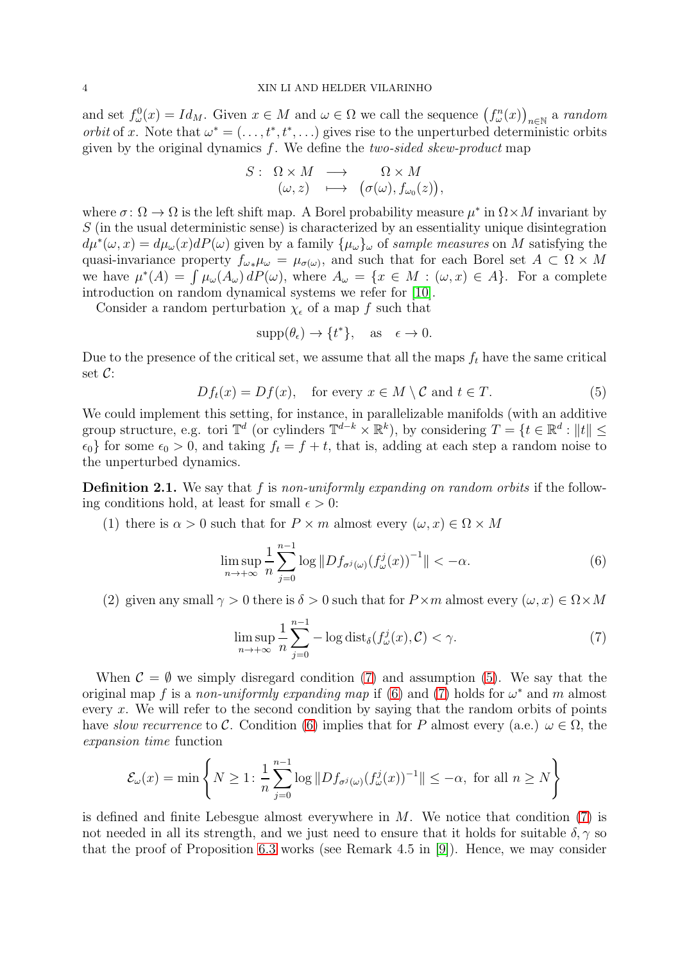and set  $f_{\omega}^0(x) = Id_M$ . Given  $x \in M$  and  $\omega \in \Omega$  we call the sequence  $(f_{\omega}^n(x))_{n \in \mathbb{N}}$  a random *orbit* of x. Note that  $\omega^* = (\ldots, t^*, t^*, \ldots)$  gives rise to the unperturbed deterministic orbits given by the original dynamics  $f$ . We define the *two-sided skew-product* map

$$
S: \begin{array}{ccc} \Omega \times M & \longrightarrow & \Omega \times M \\ (\omega, z) & \longmapsto & (\sigma(\omega), f_{\omega_0}(z)), \end{array}
$$

where  $\sigma : \Omega \to \Omega$  is the left shift map. A Borel probability measure  $\mu^*$  in  $\Omega \times M$  invariant by S (in the usual deterministic sense) is characterized by an essentiality unique disintegration  $d\mu^*(\omega, x) = d\mu_\omega(x) dP(\omega)$  given by a family  $\{\mu_\omega\}_\omega$  of sample measures on M satisfying the quasi-invariance property  $f_{\omega_*}\mu_{\omega} = \mu_{\sigma(\omega)}$ , and such that for each Borel set  $A \subset \Omega \times M$ we have  $\mu^*(A) = \int \mu_\omega(A_\omega) dP(\omega)$ , where  $A_\omega = \{x \in M : (\omega, x) \in A\}$ . For a complete introduction on random dynamical systems we refer for [\[10\]](#page-28-16).

Consider a random perturbation  $\chi_{\epsilon}$  of a map f such that

$$
supp(\theta_{\epsilon}) \to \{t^*\}, \quad \text{as} \quad \epsilon \to 0.
$$

Due to the presence of the critical set, we assume that all the maps  $f_t$  have the same critical set C:

<span id="page-3-1"></span>
$$
Df_t(x) = Df(x), \quad \text{for every } x \in M \setminus C \text{ and } t \in T. \tag{5}
$$

We could implement this setting, for instance, in parallelizable manifolds (with an additive group structure, e.g. tori  $\mathbb{T}^d$  (or cylinders  $\mathbb{T}^{d-k} \times \mathbb{R}^k$ ), by considering  $T = \{t \in \mathbb{R}^d : ||t|| \leq$  $\epsilon_0$  for some  $\epsilon_0 > 0$ , and taking  $f_t = f + t$ , that is, adding at each step a random noise to the unperturbed dynamics.

**Definition 2.1.** We say that f is non-uniformly expanding on random orbits if the following conditions hold, at least for small  $\epsilon > 0$ :

(1) there is  $\alpha > 0$  such that for  $P \times m$  almost every  $(\omega, x) \in \Omega \times M$ 

<span id="page-3-2"></span>
$$
\limsup_{n \to +\infty} \frac{1}{n} \sum_{j=0}^{n-1} \log \|Df_{\sigma^j(\omega)}(f^j_\omega(x))^{-1}\| < -\alpha.
$$
 (6)

(2) given any small  $\gamma > 0$  there is  $\delta > 0$  such that for  $P \times m$  almost every  $(\omega, x) \in \Omega \times M$ 

<span id="page-3-0"></span>
$$
\limsup_{n \to +\infty} \frac{1}{n} \sum_{j=0}^{n-1} -\log \text{dist}_{\delta}(f_{\omega}^j(x), \mathcal{C}) < \gamma. \tag{7}
$$

When  $\mathcal{C} = \emptyset$  we simply disregard condition [\(7\)](#page-3-0) and assumption [\(5\)](#page-3-1). We say that the original map f is a non-uniformly expanding map if [\(6\)](#page-3-2) and [\(7\)](#page-3-0) holds for  $\omega^*$  and m almost every x. We will refer to the second condition by saying that the random orbits of points have slow recurrence to C. Condition [\(6\)](#page-3-2) implies that for P almost every (a.e.)  $\omega \in \Omega$ , the expansion time function

$$
\mathcal{E}_{\omega}(x) = \min\left\{N \ge 1 : \frac{1}{n} \sum_{j=0}^{n-1} \log \|Df_{\sigma^j(\omega)}(f^j_{\omega}(x))^{-1}\| \le -\alpha, \text{ for all } n \ge N\right\}
$$

is defined and finite Lebesgue almost everywhere in  $M$ . We notice that condition [\(7\)](#page-3-0) is not needed in all its strength, and we just need to ensure that it holds for suitable  $\delta$ ,  $\gamma$  so that the proof of Proposition [6.3](#page-14-0) works (see Remark 4.5 in [\[9\]](#page-28-17)). Hence, we may consider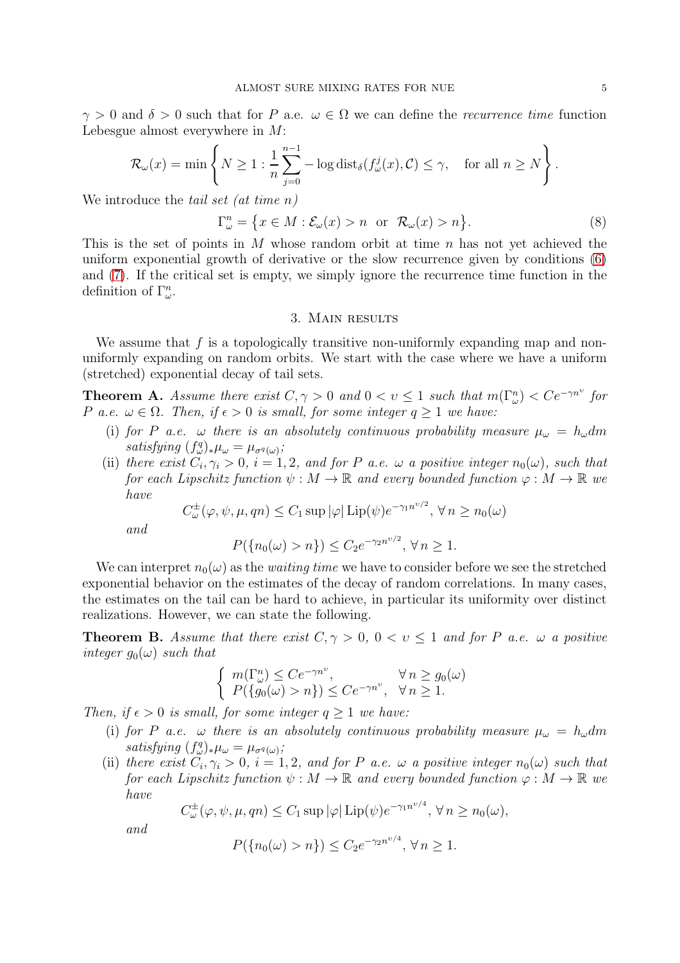$\gamma > 0$  and  $\delta > 0$  such that for P a.e.  $\omega \in \Omega$  we can define the recurrence time function Lebesgue almost everywhere in M:

$$
\mathcal{R}_{\omega}(x) = \min \left\{ N \ge 1 : \frac{1}{n} \sum_{j=0}^{n-1} -\log \mathrm{dist}_{\delta}(f_{\omega}^j(x), C) \le \gamma, \text{ for all } n \ge N \right\}.
$$

We introduce the *tail set* (*at time n*)

<span id="page-4-3"></span>
$$
\Gamma_{\omega}^{n} = \{ x \in M : \mathcal{E}_{\omega}(x) > n \text{ or } \mathcal{R}_{\omega}(x) > n \}.
$$
 (8)

This is the set of points in M whose random orbit at time n has not yet achieved the uniform exponential growth of derivative or the slow recurrence given by conditions [\(6\)](#page-3-2) and [\(7\)](#page-3-0). If the critical set is empty, we simply ignore the recurrence time function in the definition of  $\Gamma^n_\omega$ .

## 3. Main results

<span id="page-4-0"></span>We assume that  $f$  is a topologically transitive non-uniformly expanding map and nonuniformly expanding on random orbits. We start with the case where we have a uniform (stretched) exponential decay of tail sets.

<span id="page-4-2"></span>**Theorem A.** Assume there exist  $C, \gamma > 0$  and  $0 < v \leq 1$  such that  $m(\Gamma^n_\omega) < Ce^{-\gamma n^\nu}$  for P a.e.  $\omega \in \Omega$ . Then, if  $\epsilon > 0$  is small, for some integer  $q \ge 1$  we have:

- (i) for P a.e.  $\omega$  there is an absolutely continuous probability measure  $\mu_{\omega} = h_{\omega} dm$ satisfying  $(f_{\omega}^q)_*\mu_{\omega} = \mu_{\sigma^q(\omega)}$ ;
- (ii) there exist  $C_i, \gamma_i > 0$ ,  $i = 1, 2$ , and for P a.e.  $\omega$  a positive integer  $n_0(\omega)$ , such that for each Lipschitz function  $\psi : M \to \mathbb{R}$  and every bounded function  $\varphi : M \to \mathbb{R}$  we have

$$
C_{\omega}^{\pm}(\varphi, \psi, \mu, qn) \le C_1 \sup |\varphi| \operatorname{Lip}(\psi) e^{-\gamma_1 n^{\nu/2}}, \forall n \ge n_0(\omega)
$$

and

$$
P(\{n_0(\omega) > n\}) \le C_2 e^{-\gamma_2 n^{\nu/2}}, \forall n \ge 1.
$$

We can interpret  $n_0(\omega)$  as the *waiting time* we have to consider before we see the stretched exponential behavior on the estimates of the decay of random correlations. In many cases, the estimates on the tail can be hard to achieve, in particular its uniformity over distinct realizations. However, we can state the following.

<span id="page-4-1"></span>**Theorem B.** Assume that there exist  $C, \gamma > 0$ ,  $0 < v \le 1$  and for P a.e.  $\omega$  a positive integer  $g_0(\omega)$  such that

$$
\begin{cases} m(\Gamma_{\omega}^{n}) \leq Ce^{-\gamma n^{\upsilon}}, & \forall n \geq g_0(\omega) \\ P(\lbrace g_0(\omega) > n \rbrace) \leq Ce^{-\gamma n^{\upsilon}}, & \forall n \geq 1. \end{cases}
$$

Then, if  $\epsilon > 0$  is small, for some integer  $q \ge 1$  we have:

- (i) for P a.e.  $\omega$  there is an absolutely continuous probability measure  $\mu_{\omega} = h_{\omega} dm$ satisfying  $(f_{\omega}^q)_*\mu_{\omega} = \mu_{\sigma^q(\omega)}$ ;
- (ii) there exist  $C_i, \gamma_i > 0$ ,  $i = 1, 2$ , and for P a.e.  $\omega$  a positive integer  $n_0(\omega)$  such that for each Lipschitz function  $\psi : M \to \mathbb{R}$  and every bounded function  $\varphi : M \to \mathbb{R}$  we have

υ/4

$$
C_{\omega}^{\pm}(\varphi, \psi, \mu, qn) \le C_1 \sup |\varphi| \operatorname{Lip}(\psi) e^{-\gamma_1 n^{\nu/4}}, \forall n \ge n_0(\omega),
$$

and

$$
P(\{n_0(\omega) > n\}) \le C_2 e^{-\gamma_2 n^{\nu/4}}, \forall n \ge 1.
$$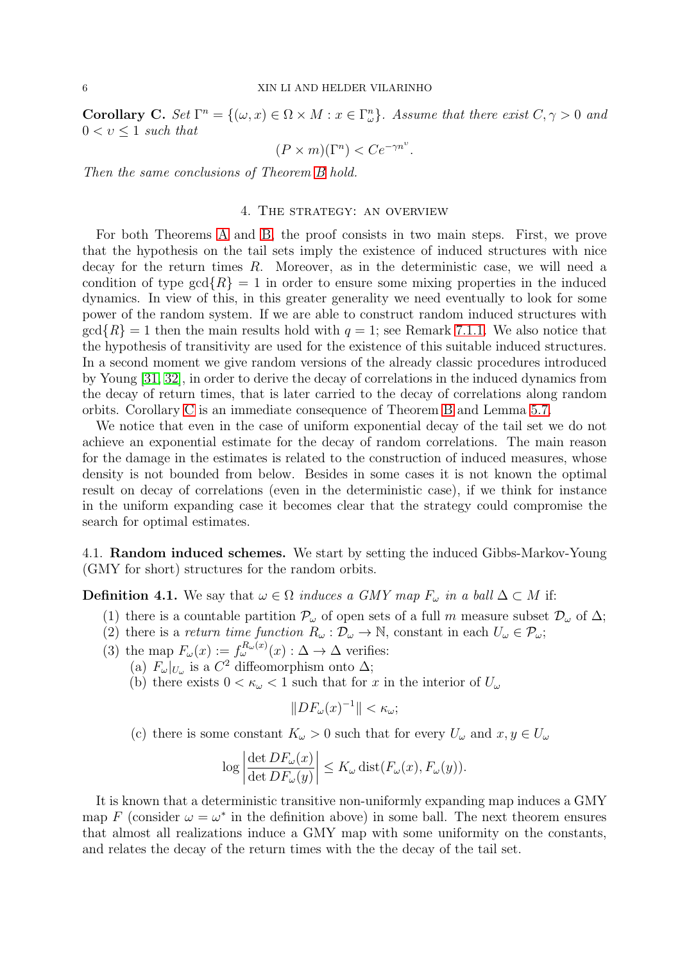<span id="page-5-1"></span>**Corollary C.** Set  $\Gamma^n = \{(\omega, x) \in \Omega \times M : x \in \Gamma^n_\omega\}$ . Assume that there exist  $C, \gamma > 0$  and  $0 < v \leq 1$  such that

$$
(P \times m)(\Gamma^n) < Ce^{-\gamma n^{\upsilon}}.
$$

<span id="page-5-0"></span>Then the same conclusions of Theorem [B](#page-4-1) hold.

# 4. The strategy: an overview

For both Theorems [A](#page-4-2) and [B,](#page-4-1) the proof consists in two main steps. First, we prove that the hypothesis on the tail sets imply the existence of induced structures with nice decay for the return times  $R$ . Moreover, as in the deterministic case, we will need a condition of type  $gcd\{R\} = 1$  in order to ensure some mixing properties in the induced dynamics. In view of this, in this greater generality we need eventually to look for some power of the random system. If we are able to construct random induced structures with  $gcd\{R\} = 1$  then the main results hold with  $q = 1$ ; see Remark [7.1.1.](#page-21-1) We also notice that the hypothesis of transitivity are used for the existence of this suitable induced structures. In a second moment we give random versions of the already classic procedures introduced by Young [\[31,](#page-28-4) [32\]](#page-28-5), in order to derive the decay of correlations in the induced dynamics from the decay of return times, that is later carried to the decay of correlations along random orbits. Corollary [C](#page-5-1) is an immediate consequence of Theorem [B](#page-4-1) and Lemma [5.7.](#page-13-1)

We notice that even in the case of uniform exponential decay of the tail set we do not achieve an exponential estimate for the decay of random correlations. The main reason for the damage in the estimates is related to the construction of induced measures, whose density is not bounded from below. Besides in some cases it is not known the optimal result on decay of correlations (even in the deterministic case), if we think for instance in the uniform expanding case it becomes clear that the strategy could compromise the search for optimal estimates.

4.1. Random induced schemes. We start by setting the induced Gibbs-Markov-Young (GMY for short) structures for the random orbits.

**Definition 4.1.** We say that  $\omega \in \Omega$  induces a GMY map  $F_{\omega}$  in a ball  $\Delta \subset M$  if:

- (1) there is a countable partition  $\mathcal{P}_{\omega}$  of open sets of a full m measure subset  $\mathcal{D}_{\omega}$  of  $\Delta$ ;
- (2) there is a return time function  $R_{\omega} : \mathcal{D}_{\omega} \to \mathbb{N}$ , constant in each  $U_{\omega} \in \mathcal{P}_{\omega}$ ;
- (3) the map  $F_{\omega}(x) := f_{\omega}^{R_{\omega}(x)}(x) : \Delta \to \Delta$  verifies:
	- (a)  $F_{\omega}|_{U_{\omega}}$  is a  $C^2$  diffeomorphism onto  $\Delta$ ;
		- (b) there exists  $0 < \kappa_{\omega} < 1$  such that for x in the interior of  $U_{\omega}$

$$
||DF_{\omega}(x)^{-1}|| < \kappa_{\omega};
$$

(c) there is some constant  $K_{\omega} > 0$  such that for every  $U_{\omega}$  and  $x, y \in U_{\omega}$ 

$$
\log \left| \frac{\det DF_{\omega}(x)}{\det DF_{\omega}(y)} \right| \le K_{\omega} \operatorname{dist}(F_{\omega}(x), F_{\omega}(y)).
$$

It is known that a deterministic transitive non-uniformly expanding map induces a GMY map F (consider  $\omega = \omega^*$  in the definition above) in some ball. The next theorem ensures that almost all realizations induce a GMY map with some uniformity on the constants, and relates the decay of the return times with the the decay of the tail set.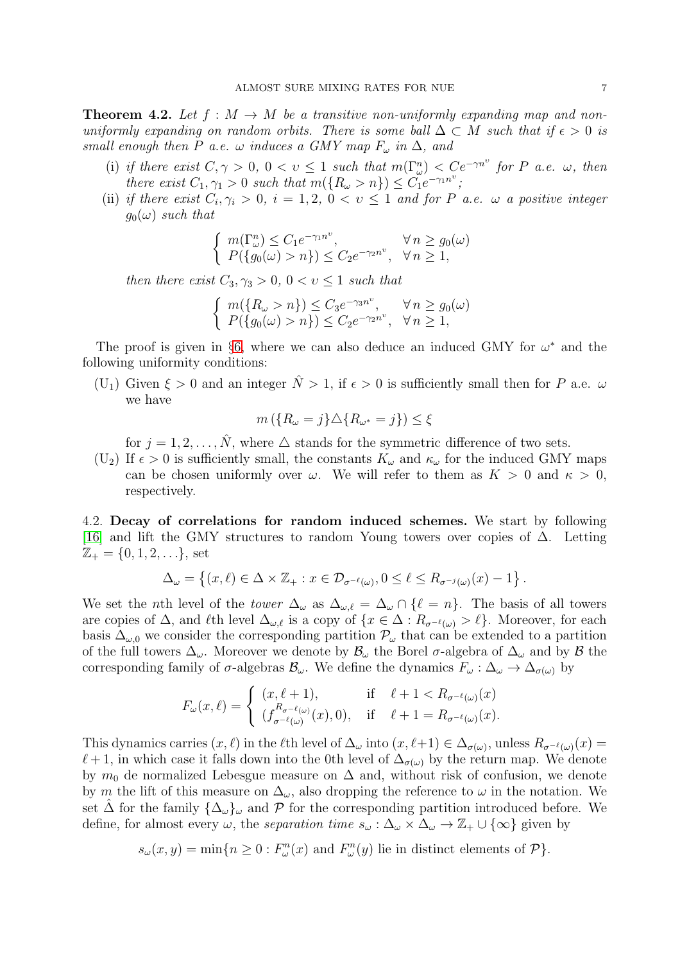<span id="page-6-0"></span>**Theorem 4.2.** Let  $f : M \to M$  be a transitive non-uniformly expanding map and nonuniformly expanding on random orbits. There is some ball  $\Delta \subset M$  such that if  $\epsilon > 0$  is small enough then P a.e.  $\omega$  induces a GMY map  $F_{\omega}$  in  $\Delta$ , and

- (i) if there exist  $C, \gamma > 0, 0 < v \leq 1$  such that  $m(\Gamma^n_\omega) < C e^{-\gamma n^\nu}$  for P a.e.  $\omega$ , then there exist  $C_1, \gamma_1 > 0$  such that  $m(\lbrace R_\omega > n \rbrace) \leq C_1 e^{-\gamma_1 n^\upsilon}$ ;
- (ii) if there exist  $C_i, \gamma_i > 0$ ,  $i = 1, 2, 0 < v \le 1$  and for P a.e.  $\omega$  a positive integer  $g_0(\omega)$  such that

$$
\begin{cases} m(\Gamma_{\omega}^n) \le C_1 e^{-\gamma_1 n^{\upsilon}}, & \forall n \ge g_0(\omega) \\ P(\lbrace g_0(\omega) > n \rbrace) \le C_2 e^{-\gamma_2 n^{\upsilon}}, & \forall n \ge 1, \end{cases}
$$

then there exist  $C_3, \gamma_3 > 0, 0 < v \leq 1$  such that

$$
\begin{cases} m(\lbrace R_{\omega} > n \rbrace) \leq C_3 e^{-\gamma_3 n^{\upsilon}}, & \forall n \geq g_0(\omega) \\ P(\lbrace g_0(\omega) > n \rbrace) \leq C_2 e^{-\gamma_2 n^{\upsilon}}, & \forall n \geq 1, \end{cases}
$$

The proof is given in §[6,](#page-13-0) where we can also deduce an induced GMY for  $\omega^*$  and the following uniformity conditions:

(U<sub>1</sub>) Given  $\xi > 0$  and an integer  $\hat{N} > 1$ , if  $\epsilon > 0$  is sufficiently small then for P a.e.  $\omega$ we have

$$
m\left(\{R_{\omega}=j\}\triangle\{R_{\omega^*}=j\}\right)\leq\xi
$$

for  $j = 1, 2, \ldots, \hat{N}$ , where  $\Delta$  stands for the symmetric difference of two sets.

(U<sub>2</sub>) If  $\epsilon > 0$  is sufficiently small, the constants  $K_{\omega}$  and  $\kappa_{\omega}$  for the induced GMY maps can be chosen uniformly over  $\omega$ . We will refer to them as  $K > 0$  and  $\kappa > 0$ , respectively.

4.2. Decay of correlations for random induced schemes. We start by following [\[16\]](#page-28-11) and lift the GMY structures to random Young towers over copies of ∆. Letting  $\mathbb{Z}_{+} = \{0, 1, 2, \ldots\}$ , set

$$
\Delta_{\omega} = \left\{ (x,\ell) \in \Delta \times \mathbb{Z}_+ : x \in \mathcal{D}_{\sigma^{-\ell}(\omega)}, 0 \leq \ell \leq R_{\sigma^{-j}(\omega)}(x) - 1 \right\}.
$$

We set the *n*th level of the *tower*  $\Delta_{\omega}$  as  $\Delta_{\omega,\ell} = \Delta_{\omega} \cap {\ell = n}$ . The basis of all towers are copies of  $\Delta$ , and  $\ell$ th level  $\Delta_{\omega,\ell}$  is a copy of  $\{x \in \Delta : R_{\sigma^{-\ell}(\omega)} > \ell\}$ . Moreover, for each basis  $\Delta_{\omega,0}$  we consider the corresponding partition  $\mathcal{P}_{\omega}$  that can be extended to a partition of the full towers  $\Delta_{\omega}$ . Moreover we denote by  $\mathcal{B}_{\omega}$  the Borel  $\sigma$ -algebra of  $\Delta_{\omega}$  and by  $\mathcal{B}$  the corresponding family of  $\sigma$ -algebras  $\mathcal{B}_{\omega}$ . We define the dynamics  $F_{\omega} : \Delta_{\omega} \to \Delta_{\sigma(\omega)}$  by

$$
F_{\omega}(x,\ell) = \begin{cases} (x,\ell+1), & \text{if } \ell+1 < R_{\sigma^{-\ell}(\omega)}(x) \\ (f_{\sigma^{-\ell}(\omega)}^{R_{\sigma^{-\ell}(\omega)}}(x),0), & \text{if } \ell+1 = R_{\sigma^{-\ell}(\omega)}(x). \end{cases}
$$

This dynamics carries  $(x, \ell)$  in the  $\ell$ th level of  $\Delta_{\omega}$  into  $(x, \ell+1) \in \Delta_{\sigma(\omega)}$ , unless  $R_{\sigma^{-\ell}(\omega)}(x) =$  $\ell+1$ , in which case it falls down into the 0th level of  $\Delta_{\sigma(\omega)}$  by the return map. We denote by  $m_0$  de normalized Lebesgue measure on  $\Delta$  and, without risk of confusion, we denote by m the lift of this measure on  $\Delta_{\omega}$ , also dropping the reference to  $\omega$  in the notation. We set  $\hat{\Delta}$  for the family  $\{\Delta_{\omega}\}_\omega$  and  $\mathcal P$  for the corresponding partition introduced before. We define, for almost every  $\omega$ , the separation time  $s_{\omega} : \Delta_{\omega} \times \Delta_{\omega} \to \mathbb{Z}_+ \cup {\infty}$  given by

$$
s_{\omega}(x, y) = \min\{n \ge 0 : F_{\omega}^n(x) \text{ and } F_{\omega}^n(y) \text{ lie in distinct elements of } \mathcal{P}\}.
$$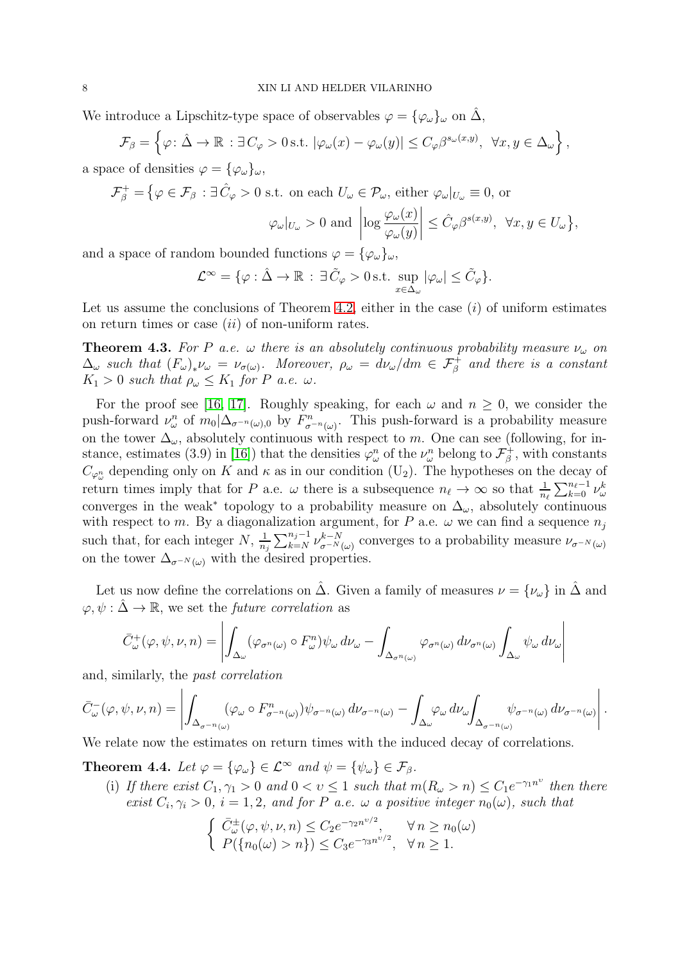We introduce a Lipschitz-type space of observables  $\varphi = {\varphi_{\omega}}_{\omega}$  on  $\hat{\Delta}$ ,

$$
\mathcal{F}_{\beta} = \left\{ \varphi \colon \hat{\Delta} \to \mathbb{R} \, : \exists C_{\varphi} > 0 \, \text{s.t.} \, |\varphi_{\omega}(x) - \varphi_{\omega}(y)| \le C_{\varphi} \beta^{s_{\omega}(x,y)}, \, \forall x, y \in \Delta_{\omega} \right\},
$$

a space of densities  $\varphi = {\varphi_{\omega}}_{\omega}$ ,

$$
\mathcal{F}_{\beta}^{+} = \left\{ \varphi \in \mathcal{F}_{\beta} : \exists \, \hat{C}_{\varphi} > 0 \text{ s.t. on each } U_{\omega} \in \mathcal{P}_{\omega}, \text{ either } \varphi_{\omega}|_{U_{\omega}} \equiv 0, \text{ or } \right\}
$$

$$
\varphi_{\omega}|_{U_{\omega}}>0
$$
 and  $\left|\log \frac{\varphi_{\omega}(x)}{\varphi_{\omega}(y)}\right| \leq \hat{C}_{\varphi}\beta^{s(x,y)}, \ \forall x, y \in U_{\omega}\},$ 

and a space of random bounded functions  $\varphi = {\varphi_{\omega}}_{\omega}$ ,

$$
\mathcal{L}^{\infty} = \{ \varphi : \hat{\Delta} \to \mathbb{R} : \exists \, \tilde{C}_{\varphi} > 0 \,\text{s.t.} \, \sup_{x \in \Delta_{\omega}} |\varphi_{\omega}| \leq \tilde{C}_{\varphi} \}.
$$

Let us assume the conclusions of Theorem [4.2,](#page-6-0) either in the case  $(i)$  of uniform estimates on return times or case  $(ii)$  of non-uniform rates.

<span id="page-7-1"></span>**Theorem 4.3.** For P a.e.  $\omega$  there is an absolutely continuous probability measure  $\nu_{\omega}$  on  $\Delta_{\omega}$  such that  $(F_{\omega})_{*}\nu_{\omega} = \nu_{\sigma(\omega)}$ . Moreover,  $\rho_{\omega} = d\nu_{\omega}/dm \in \mathcal{F}_{\beta}^{+}$  and there is a constant  $K_1 > 0$  such that  $\rho_\omega \leq K_1$  for P a.e.  $\omega$ .

For the proof see [\[16,](#page-28-11) [17\]](#page-28-18). Roughly speaking, for each  $\omega$  and  $n \geq 0$ , we consider the push-forward  $\nu_\omega^n$  of  $m_0|\Delta_{\sigma^{-n}(\omega),0}$  by  $F_{\sigma^{-n}(\omega)}^n$ . This push-forward is a probability measure on the tower  $\Delta_{\omega}$ , absolutely continuous with respect to m. One can see (following, for in-stance, estimates (3.9) in [\[16\]](#page-28-11)) that the densities  $\varphi^n_\omega$  of the  $\nu^n_\omega$  belong to  $\mathcal{F}^+_\beta$  $\vec{e}_{\beta}^{\dagger}$ , with constants  $C_{\varphi_{\omega}^n}$  depending only on K and  $\kappa$  as in our condition (U<sub>2</sub>). The hypotheses on the decay of return times imply that for P a.e.  $\omega$  there is a subsequence  $n_{\ell} \to \infty$  so that  $\frac{1}{n_{\ell}} \sum_{k=0}^{n_{\ell}-1} \nu_{\omega}^{k}$ converges in the weak<sup>\*</sup> topology to a probability measure on  $\Delta_{\omega}$ , absolutely continuous with respect to m. By a diagonalization argument, for P a.e.  $\omega$  we can find a sequence  $n_j$ such that, for each integer  $N, \frac{1}{n}$  $\frac{1}{n_j} \sum_{k=N}^{n_j-1} \nu_{\sigma^{-N}(\omega)}^{k-N}$  converges to a probability measure  $\nu_{\sigma^{-N}(\omega)}$ on the tower  $\Delta_{\sigma^{-N}(\omega)}$  with the desired properties.

Let us now define the correlations on  $\Delta$ . Given a family of measures  $\nu = {\nu_\omega}$  in  $\Delta$  and  $\varphi, \psi : \hat{\Delta} \to \mathbb{R}$ , we set the *future correlation* as

$$
\bar{C}^+_{\omega}(\varphi, \psi, \nu, n) = \left| \int_{\Delta_{\omega}} (\varphi_{\sigma^n(\omega)} \circ F_{\omega}^n) \psi_{\omega} d\nu_{\omega} - \int_{\Delta_{\sigma^n(\omega)}} \varphi_{\sigma^n(\omega)} d\nu_{\sigma^n(\omega)} \int_{\Delta_{\omega}} \psi_{\omega} d\nu_{\omega} \right|
$$

and, similarly, the past correlation

$$
\bar{C}_{\omega}^{-}(\varphi,\psi,\nu,n)=\left|\int_{\Delta_{\sigma^{-n}(\omega)}}(\varphi_{\omega}\circ F_{\sigma^{-n}(\omega)}^{n})\psi_{\sigma^{-n}(\omega)}\,d\nu_{\sigma^{-n}(\omega)}-\int_{\Delta_{\omega}}\varphi_{\omega}\,d\nu_{\omega}\int_{\Delta_{\sigma^{-n}(\omega)}}\psi_{\sigma^{-n}(\omega)}\,d\nu_{\sigma^{-n}(\omega)}\right|.
$$

We relate now the estimates on return times with the induced decay of correlations.

<span id="page-7-0"></span>**Theorem 4.4.** Let  $\varphi = {\varphi_{\omega}} \in \mathcal{L}^{\infty}$  and  $\psi = {\psi_{\omega}} \in \mathcal{F}_{\beta}$ .

(i) If there exist  $C_1, \gamma_1 > 0$  and  $0 < v \le 1$  such that  $m(R_\omega > n) \le C_1 e^{-\gamma_1 n^\nu}$  then there exist  $C_i, \gamma_i > 0$ ,  $i = 1, 2$ , and for P a.e.  $\omega$  a positive integer  $n_0(\omega)$ , such that

$$
\begin{cases} \bar{C}_{\omega}^{\pm}(\varphi, \psi, \nu, n) \leq C_2 e^{-\gamma_2 n^{\nu/2}}, & \forall n \geq n_0(\omega) \\ P(\{n_0(\omega) > n\}) \leq C_3 e^{-\gamma_3 n^{\nu/2}}, & \forall n \geq 1. \end{cases}
$$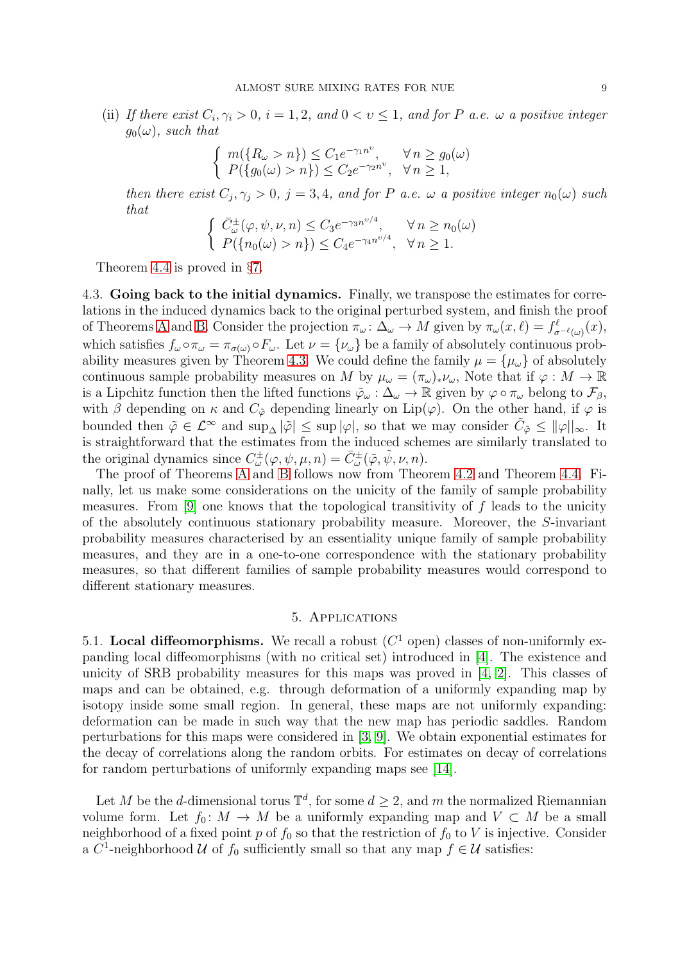(ii) If there exist  $C_i, \gamma_i > 0$ ,  $i = 1, 2$ , and  $0 < v \le 1$ , and for P a.e.  $\omega$  a positive integer  $q_0(\omega)$ , such that

$$
\begin{cases} m(\lbrace R_{\omega} > n \rbrace) \leq C_1 e^{-\gamma_1 n^{\upsilon}}, & \forall n \geq g_0(\omega) \\ P(\lbrace g_0(\omega) > n \rbrace) \leq C_2 e^{-\gamma_2 n^{\upsilon}}, & \forall n \geq 1, \end{cases}
$$

then there exist  $C_j, \gamma_j > 0$ ,  $j = 3, 4$ , and for P a.e.  $\omega$  a positive integer  $n_0(\omega)$  such that

$$
\begin{cases} \bar{C}_{\omega}^{\pm}(\varphi, \psi, \nu, n) \leq C_3 e^{-\gamma_3 n^{\nu/4}}, & \forall n \geq n_0(\omega) \\ P(\{n_0(\omega) > n\}) \leq C_4 e^{-\gamma_4 n^{\nu/4}}, & \forall n \geq 1. \end{cases}
$$

Theorem [4.4](#page-7-0) is proved in §[7.](#page-21-0)

4.3. Going back to the initial dynamics. Finally, we transpose the estimates for correlations in the induced dynamics back to the original perturbed system, and finish the proof of Theorems [A](#page-4-2) and [B.](#page-4-1) Consider the projection  $\pi_{\omega} \colon \Delta_{\omega} \to M$  given by  $\pi_{\omega}(x, \ell) = f_{\sigma^{-\ell}(\omega)}^{\ell}(x)$ , which satisfies  $f_{\omega} \circ \pi_{\omega} = \pi_{\sigma(\omega)} \circ F_{\omega}$ . Let  $\nu = {\nu_{\omega}}$  be a family of absolutely continuous prob-ability measures given by Theorem [4.3.](#page-7-1) We could define the family  $\mu = {\mu_{\omega}}$  of absolutely continuous sample probability measures on M by  $\mu_\omega = (\pi_\omega)_* \nu_\omega$ , Note that if  $\varphi : M \to \mathbb{R}$ is a Lipchitz function then the lifted functions  $\tilde{\varphi}_{\omega} : \Delta_{\omega} \to \mathbb{R}$  given by  $\varphi \circ \pi_{\omega}$  belong to  $\mathcal{F}_{\beta}$ , with  $\beta$  depending on  $\kappa$  and  $C_{\tilde{\varphi}}$  depending linearly on Lip( $\varphi$ ). On the other hand, if  $\varphi$  is bounded then  $\tilde{\varphi} \in \mathcal{L}^{\infty}$  and  $\sup_{\Delta} |\tilde{\varphi}| \leq \sup |\varphi|$ , so that we may consider  $\tilde{C}_{\tilde{\varphi}} \leq ||\varphi||_{\infty}$ . It is straightforward that the estimates from the induced schemes are similarly translated to the original dynamics since  $C^{\pm}_{\omega}(\varphi, \psi, \mu, n) = \bar{C}^{\pm}_{\omega}(\tilde{\varphi}, \tilde{\psi}, \nu, n)$ .

The proof of Theorems [A](#page-4-2) and [B](#page-4-1) follows now from Theorem [4.2](#page-6-0) and Theorem [4.4.](#page-7-0) Finally, let us make some considerations on the unicity of the family of sample probability measures. From [\[9\]](#page-28-17) one knows that the topological transitivity of  $f$  leads to the unicity of the absolutely continuous stationary probability measure. Moreover, the S-invariant probability measures characterised by an essentiality unique family of sample probability measures, and they are in a one-to-one correspondence with the stationary probability measures, so that different families of sample probability measures would correspond to different stationary measures.

## 5. Applications

<span id="page-8-0"></span>5.1. Local diffeomorphisms. We recall a robust  $(C<sup>1</sup>$  open) classes of non-uniformly expanding local diffeomorphisms (with no critical set) introduced in [\[4\]](#page-28-14). The existence and unicity of SRB probability measures for this maps was proved in [\[4,](#page-28-14) [2\]](#page-27-1). This classes of maps and can be obtained, e.g. through deformation of a uniformly expanding map by isotopy inside some small region. In general, these maps are not uniformly expanding: deformation can be made in such way that the new map has periodic saddles. Random perturbations for this maps were considered in [\[3,](#page-27-2) [9\]](#page-28-17). We obtain exponential estimates for the decay of correlations along the random orbits. For estimates on decay of correlations for random perturbations of uniformly expanding maps see [\[14\]](#page-28-9).

Let M be the d-dimensional torus  $\mathbb{T}^d$ , for some  $d \geq 2$ , and m the normalized Riemannian volume form. Let  $f_0: M \to M$  be a uniformly expanding map and  $V \subset M$  be a small neighborhood of a fixed point p of  $f_0$  so that the restriction of  $f_0$  to V is injective. Consider a  $C^1$ -neighborhood  $\mathcal U$  of  $f_0$  sufficiently small so that any map  $f \in \mathcal U$  satisfies: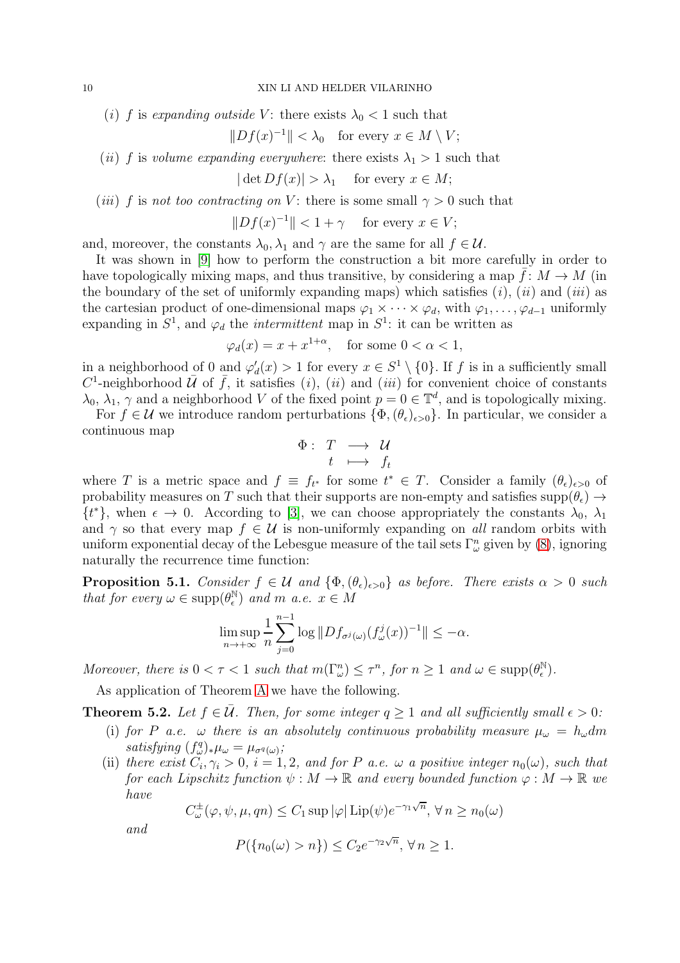(i) f is expanding outside V: there exists  $\lambda_0 < 1$  such that

$$
||Df(x)^{-1}|| < \lambda_0 \quad \text{for every } x \in M \setminus V;
$$

(ii) f is volume expanding everywhere: there exists  $\lambda_1 > 1$  such that

 $|\det Df(x)| > \lambda_1$  for every  $x \in M$ ;

(*iii*) f is not too contracting on V: there is some small  $\gamma > 0$  such that

 $||Df(x)^{-1}|| < 1 + \gamma$  for every  $x \in V$ ;

and, moreover, the constants  $\lambda_0, \lambda_1$  and  $\gamma$  are the same for all  $f \in \mathcal{U}$ .

It was shown in [\[9\]](#page-28-17) how to perform the construction a bit more carefully in order to have topologically mixing maps, and thus transitive, by considering a map  $f: M \to M$  (in the boundary of the set of uniformly expanding maps) which satisfies  $(i)$ ,  $(ii)$  and  $(iii)$  as the cartesian product of one-dimensional maps  $\varphi_1 \times \cdots \times \varphi_d$ , with  $\varphi_1, \ldots, \varphi_{d-1}$  uniformly expanding in  $S^1$ , and  $\varphi_d$  the *intermittent* map in  $S^1$ : it can be written as

$$
\varphi_d(x) = x + x^{1+\alpha}, \quad \text{for some } 0 < \alpha < 1,
$$

in a neighborhood of 0 and  $\varphi'_d(x) > 1$  for every  $x \in S^1 \setminus \{0\}$ . If f is in a sufficiently small  $C^1$ -neighborhood  $\overline{U}$  of  $\overline{f}$ , it satisfies (i), (ii) and (iii) for convenient choice of constants  $\lambda_0, \lambda_1, \gamma$  and a neighborhood V of the fixed point  $p = 0 \in \mathbb{T}^d$ , and is topologically mixing.

For  $f \in \mathcal{U}$  we introduce random perturbations  $\{\Phi, (\theta_\epsilon)_{\epsilon>0}\}\$ . In particular, we consider a continuous map

$$
\begin{array}{rcl} \Phi : & T & \longrightarrow & \mathcal{U} \\ & t & \longmapsto & f_t \end{array}
$$

where T is a metric space and  $f \equiv f_{t^*}$  for some  $t^* \in T$ . Consider a family  $(\theta_{\epsilon})_{\epsilon>0}$  of probability measures on T such that their supports are non-empty and satisfies supp $(\theta_{\epsilon}) \rightarrow$  $\{t^*\}$ , when  $\epsilon \to 0$ . According to [\[3\]](#page-27-2), we can choose appropriately the constants  $\lambda_0$ ,  $\lambda_1$ and  $\gamma$  so that every map  $f \in \mathcal{U}$  is non-uniformly expanding on all random orbits with uniform exponential decay of the Lebesgue measure of the tail sets  $\Gamma^n_\omega$  given by [\(8\)](#page-4-3), ignoring naturally the recurrence time function:

**Proposition 5.1.** Consider  $f \in \mathcal{U}$  and  $\{\Phi, (\theta_{\epsilon})_{\epsilon > 0}\}\$ as before. There exists  $\alpha > 0$  such that for every  $\omega \in \text{supp}(\theta_{\epsilon}^{\mathbb{N}})$  $\binom{\mathbb{N}}{\epsilon}$  and m a.e.  $x \in M$ 

$$
\limsup_{n\to+\infty}\frac{1}{n}\sum_{j=0}^{n-1}\log\|Df_{\sigma^j(\omega)}(f^j_\omega(x))^{-1}\|\leq -\alpha.
$$

Moreover, there is  $0 < \tau < 1$  such that  $m(\Gamma_{\omega}^n) \leq \tau^n$ , for  $n \geq 1$  and  $\omega \in \text{supp}(\theta_{\epsilon}^{\mathbb{N}})$  $_{\epsilon}^{\mathbb{N}}).$ 

As application of Theorem [A](#page-4-2) we have the following.

**Theorem 5.2.** Let  $f \in \overline{U}$ . Then, for some integer  $q \ge 1$  and all sufficiently small  $\epsilon > 0$ :

- (i) for P a.e.  $\omega$  there is an absolutely continuous probability measure  $\mu_{\omega} = h_{\omega} dm$ satisfying  $(f_{\omega}^q)_*\mu_{\omega} = \mu_{\sigma^q(\omega)}$ ;
- (ii) there exist  $C_i, \gamma_i > 0$ ,  $i = 1, 2$ , and for P a.e.  $\omega$  a positive integer  $n_0(\omega)$ , such that for each Lipschitz function  $\psi : M \to \mathbb{R}$  and every bounded function  $\varphi : M \to \mathbb{R}$  we have

$$
C_{\omega}^{\pm}(\varphi,\psi,\mu,qn)\leq C_1\sup|\varphi|\operatorname{Lip}(\psi)e^{-\gamma_1\sqrt{n}},\,\forall\,n\geq n_0(\omega)
$$

and

$$
P(\{n_0(\omega) > n\}) \le C_2 e^{-\gamma_2 \sqrt{n}}, \forall n \ge 1.
$$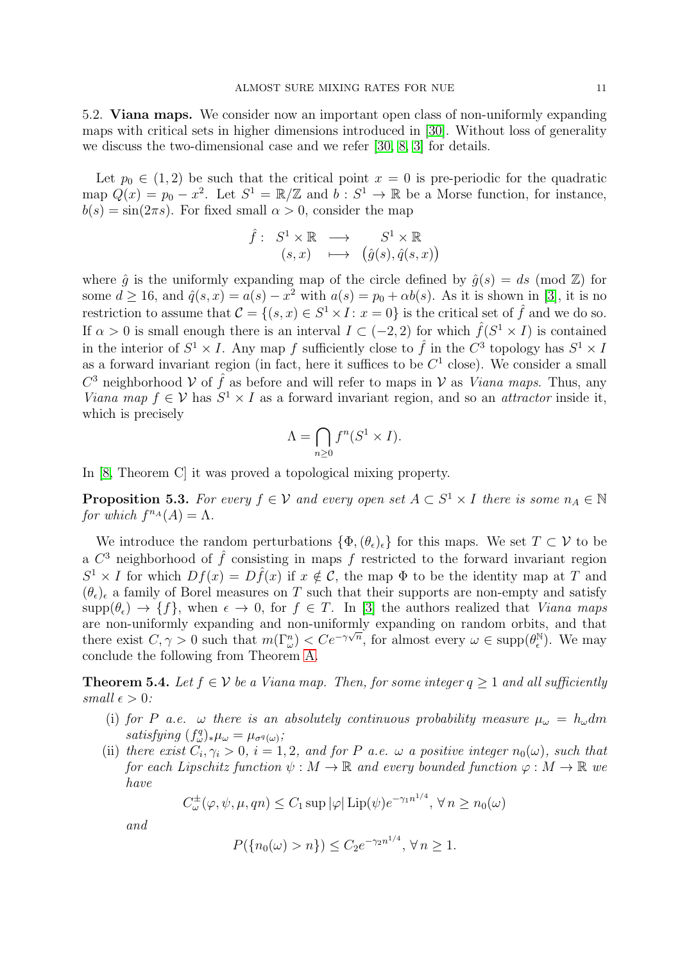5.2. Viana maps. We consider now an important open class of non-uniformly expanding maps with critical sets in higher dimensions introduced in [\[30\]](#page-28-13). Without loss of generality we discuss the two-dimensional case and we refer [\[30,](#page-28-13) [8,](#page-28-19) [3\]](#page-27-2) for details.

Let  $p_0 \in (1, 2)$  be such that the critical point  $x = 0$  is pre-periodic for the quadratic map  $Q(x) = p_0 - x^2$ . Let  $S^1 = \mathbb{R}/\mathbb{Z}$  and  $b : S^1 \to \mathbb{R}$  be a Morse function, for instance,  $b(s) = \sin(2\pi s)$ . For fixed small  $\alpha > 0$ , consider the map

$$
\hat{f}: S^1 \times \mathbb{R} \longrightarrow S^1 \times \mathbb{R} \n(s,x) \longmapsto (\hat{g}(s), \hat{q}(s,x))
$$

where  $\hat{g}$  is the uniformly expanding map of the circle defined by  $\hat{g}(s) = ds \pmod{\mathbb{Z}}$  for some  $d \ge 16$ , and  $\hat{q}(s, x) = a(s) - x^2$  with  $a(s) = p_0 + \alpha b(s)$ . As it is shown in [\[3\]](#page-27-2), it is no restriction to assume that  $\mathcal{C} = \{(s, x) \in S^1 \times I : x = 0\}$  is the critical set of  $\hat{f}$  and we do so. If  $\alpha > 0$  is small enough there is an interval  $I \subset (-2, 2)$  for which  $\hat{f}(S^1 \times I)$  is contained in the interior of  $S^1 \times I$ . Any map f sufficiently close to  $\hat{f}$  in the  $C^3$  topology has  $S^1 \times I$ . as a forward invariant region (in fact, here it suffices to be  $C<sup>1</sup>$  close). We consider a small  $C^3$  neighborhood  $\mathcal V$  of  $\hat f$  as before and will refer to maps in  $\mathcal V$  as *Viana maps*. Thus, any Viana map  $f \in V$  has  $S^1 \times I$  as a forward invariant region, and so an *attractor* inside it, which is precisely

$$
\Lambda = \bigcap_{n \ge 0} f^n(S^1 \times I).
$$

In [\[8,](#page-28-19) Theorem C] it was proved a topological mixing property.

**Proposition 5.3.** For every  $f \in V$  and every open set  $A \subset S^1 \times I$  there is some  $n_A \in \mathbb{N}$ for which  $f^{n_A}(A) = \Lambda$ .

We introduce the random perturbations  $\{\Phi, (\theta_{\epsilon})_{\epsilon}\}\$ for this maps. We set  $T \subset V$  to be a  $C^3$  neighborhood of  $\hat{f}$  consisting in maps f restricted to the forward invariant region  $S^1 \times I$  for which  $Df(x) = D\hat{f}(x)$  if  $x \notin C$ , the map  $\Phi$  to be the identity map at T and  $(\theta_{\epsilon})_{\epsilon}$  a family of Borel measures on T such that their supports are non-empty and satisfy  $\text{supp}(\theta_\epsilon) \to \{f\}$ , when  $\epsilon \to 0$ , for  $f \in T$ . In [\[3\]](#page-27-2) the authors realized that *Viana maps* are non-uniformly expanding and non-uniformly expanding on random orbits, and that there exist  $C, \gamma > 0$  such that  $m(\Gamma_{\omega}^n) < C e^{-\gamma \sqrt{n}}$ , for almost every  $\omega \in \text{supp}(\theta_{\epsilon}^{\mathbb{N}})$  $_{\epsilon}^{\mathbb{N}}$ ). We may conclude the following from Theorem [A.](#page-4-2)

**Theorem 5.4.** Let  $f \in V$  be a Viana map. Then, for some integer  $q \ge 1$  and all sufficiently small  $\epsilon > 0$ :

- (i) for P a.e.  $\omega$  there is an absolutely continuous probability measure  $\mu_{\omega} = h_{\omega} dm$ satisfying  $(f_{\omega}^q)_*\mu_{\omega} = \mu_{\sigma^q(\omega)}$ ;
- (ii) there exist  $C_i, \gamma_i > 0$ ,  $i = 1, 2$ , and for P a.e.  $\omega$  a positive integer  $n_0(\omega)$ , such that for each Lipschitz function  $\psi : M \to \mathbb{R}$  and every bounded function  $\varphi : M \to \mathbb{R}$  we have

$$
C^{\pm}_{\omega}(\varphi, \psi, \mu, qn) \le C_1 \sup |\varphi| \operatorname{Lip}(\psi) e^{-\gamma_1 n^{1/4}}, \forall n \ge n_0(\omega)
$$

and

$$
P(\{n_0(\omega) > n\}) \le C_2 e^{-\gamma_2 n^{1/4}}, \forall n \ge 1.
$$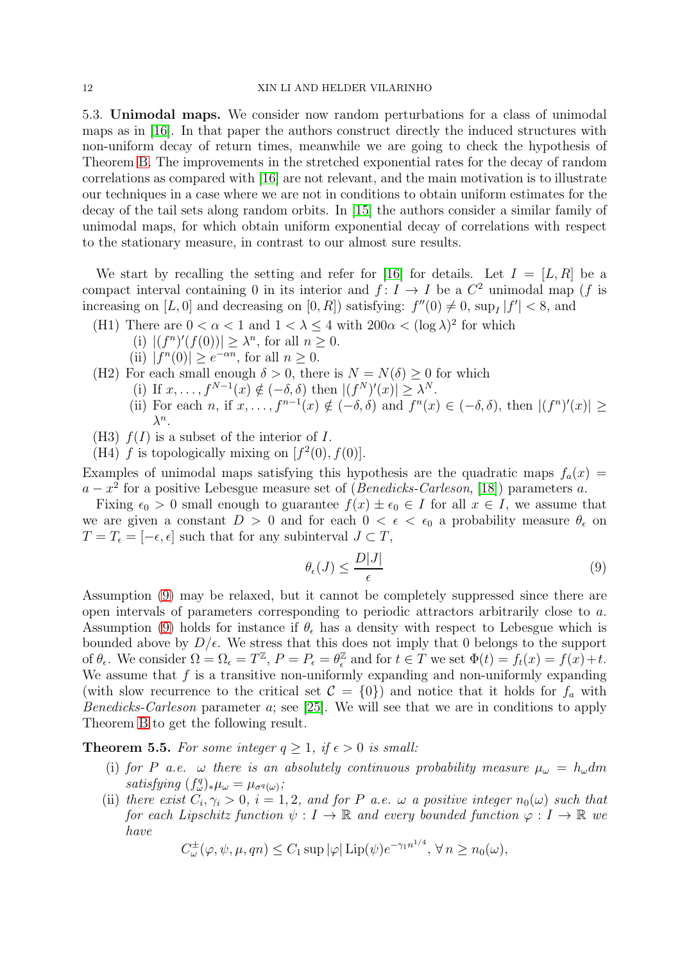5.3. Unimodal maps. We consider now random perturbations for a class of unimodal maps as in [\[16\]](#page-28-11). In that paper the authors construct directly the induced structures with non-uniform decay of return times, meanwhile we are going to check the hypothesis of Theorem [B.](#page-4-1) The improvements in the stretched exponential rates for the decay of random correlations as compared with [\[16\]](#page-28-11) are not relevant, and the main motivation is to illustrate our techniques in a case where we are not in conditions to obtain uniform estimates for the decay of the tail sets along random orbits. In [\[15\]](#page-28-6) the authors consider a similar family of unimodal maps, for which obtain uniform exponential decay of correlations with respect to the stationary measure, in contrast to our almost sure results.

We start by recalling the setting and refer for [\[16\]](#page-28-11) for details. Let  $I = [L, R]$  be a compact interval containing 0 in its interior and  $f: I \to I$  be a  $C^2$  unimodal map (f is increasing on  $[L, 0]$  and decreasing on  $[0, R]$ ) satisfying:  $f''(0) \neq 0$ ,  $\sup_I |f'| < 8$ , and

- (H1) There are  $0 < \alpha < 1$  and  $1 < \lambda \leq 4$  with  $200\alpha < (\log \lambda)^2$  for which
	- (i)  $|(f^n)'(f(0))| \ge \lambda^n$ , for all  $n \ge 0$ .
	- (ii)  $|f^n(0)| \geq e^{-\alpha n}$ , for all  $n \geq 0$ .
- (H2) For each small enough  $\delta > 0$ , there is  $N = N(\delta) > 0$  for which
	- (i) If  $x, \ldots, f^{N-1}(x) \notin (-\delta, \delta)$  then  $|(f^N)'(x)| \geq \lambda^N$ .
	- (ii) For each n, if  $x, \ldots, f^{n-1}(x) \notin (-\delta, \delta)$  and  $f^n(x) \in (-\delta, \delta)$ , then  $|(f^n)'(x)| \ge$  $\lambda^n$ .
- (H3)  $f(I)$  is a subset of the interior of I.
- (H4) f is topologically mixing on  $[f^2(0), f(0)].$

Examples of unimodal maps satisfying this hypothesis are the quadratic maps  $f_a(x)$  =  $a - x^2$  for a positive Lebesgue measure set of (Benedicks-Carleson, [\[18\]](#page-28-20)) parameters a.

Fixing  $\epsilon_0 > 0$  small enough to guarantee  $f(x) \pm \epsilon_0 \in I$  for all  $x \in I$ , we assume that we are given a constant  $D > 0$  and for each  $0 < \epsilon < \epsilon_0$  a probability measure  $\theta_{\epsilon}$  on  $T = T_{\epsilon} = [-\epsilon, \epsilon]$  such that for any subinterval  $J \subset T$ ,

<span id="page-11-0"></span>
$$
\theta_{\epsilon}(J) \le \frac{D|J|}{\epsilon} \tag{9}
$$

Assumption [\(9\)](#page-11-0) may be relaxed, but it cannot be completely suppressed since there are open intervals of parameters corresponding to periodic attractors arbitrarily close to a. Assumption [\(9\)](#page-11-0) holds for instance if  $\theta_{\epsilon}$  has a density with respect to Lebesgue which is bounded above by  $D/\epsilon$ . We stress that this does not imply that 0 belongs to the support of  $\theta_{\epsilon}$ . We consider  $\Omega = \Omega_{\epsilon} = T^{\mathbb{Z}}, P = P_{\epsilon} = \theta_{\epsilon}^{\mathbb{Z}}$  $\ell$  and for  $t \in T$  we set  $\Phi(t) = f_t(x) = f(x) + t$ . We assume that  $f$  is a transitive non-uniformly expanding and non-uniformly expanding (with slow recurrence to the critical set  $\mathcal{C} = \{0\}$ ) and notice that it holds for  $f_a$  with Benedicks-Carleson parameter a; see [\[25\]](#page-28-21). We will see that we are in conditions to apply Theorem [B](#page-4-1) to get the following result.

<span id="page-11-1"></span>**Theorem 5.5.** For some integer  $q \geq 1$ , if  $\epsilon > 0$  is small:

- (i) for P a.e.  $\omega$  there is an absolutely continuous probability measure  $\mu_{\omega} = h_{\omega} dm$ satisfying  $(f_{\omega}^q)_*\mu_{\omega} = \mu_{\sigma^q(\omega)}$ ;
- (ii) there exist  $C_i, \gamma_i > 0$ ,  $i = 1, 2$ , and for P a.e.  $\omega$  a positive integer  $n_0(\omega)$  such that for each Lipschitz function  $\psi: I \to \mathbb{R}$  and every bounded function  $\varphi: I \to \mathbb{R}$  we have

$$
C_{\omega}^{\pm}(\varphi, \psi, \mu, qn) \le C_1 \sup |\varphi| \operatorname{Lip}(\psi) e^{-\gamma_1 n^{1/4}}, \forall n \ge n_0(\omega),
$$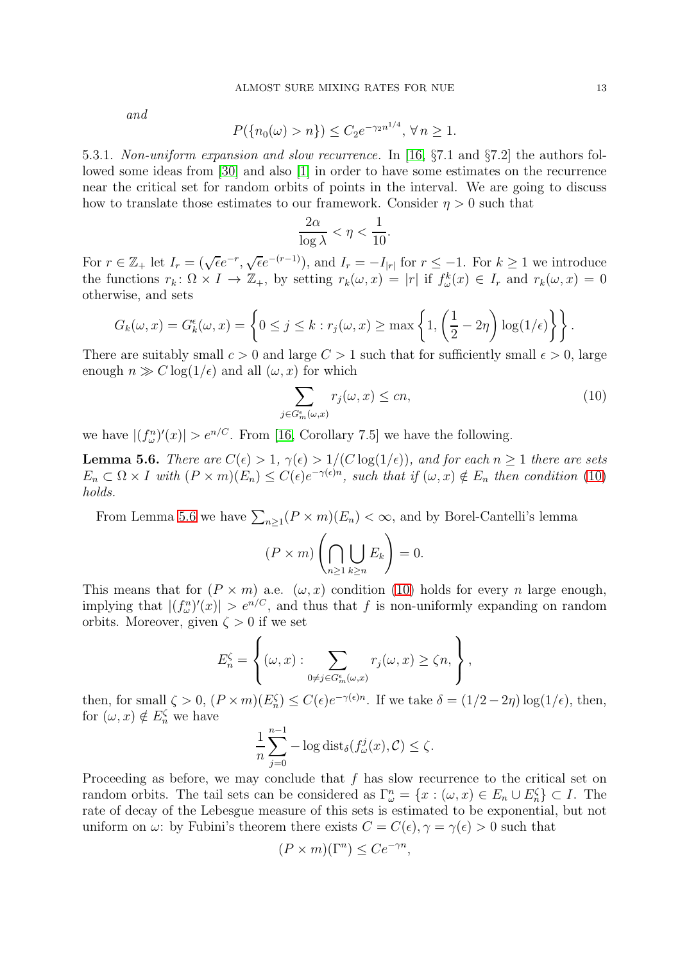and

$$
P(\{n_0(\omega) > n\}) \le C_2 e^{-\gamma_2 n^{1/4}}, \forall n \ge 1.
$$

5.3.1. Non-uniform expansion and slow recurrence. In [\[16,](#page-28-11) §7.1 and §7.2] the authors followed some ideas from [\[30\]](#page-28-13) and also [\[1\]](#page-27-3) in order to have some estimates on the recurrence near the critical set for random orbits of points in the interval. We are going to discuss how to translate those estimates to our framework. Consider  $\eta > 0$  such that

$$
\frac{2\alpha}{\log \lambda} < \eta < \frac{1}{10}.
$$

For  $r \in \mathbb{Z}_+$  let  $I_r = (\sqrt{\epsilon}e^{-r}, \sqrt{\epsilon}e^{-(r-1)})$ , and  $I_r = -I_{|r|}$  for  $r \leq -1$ . For  $k \geq 1$  we introduce the functions  $r_k: \Omega \times I \to \mathbb{Z}_+$ , by setting  $r_k(\omega, x) = |r|$  if  $f^k_\omega(x) \in I_r$  and  $r_k(\omega, x) = 0$ otherwise, and sets

$$
G_k(\omega, x) = G_k^{\epsilon}(\omega, x) = \left\{ 0 \le j \le k : r_j(\omega, x) \ge \max\left\{ 1, \left( \frac{1}{2} - 2\eta \right) \log(1/\epsilon) \right\} \right\}.
$$

There are suitably small  $c > 0$  and large  $C > 1$  such that for sufficiently small  $\epsilon > 0$ , large enough  $n \gg C \log(1/\epsilon)$  and all  $(\omega, x)$  for which

<span id="page-12-0"></span>
$$
\sum_{j \in G_m^{\epsilon}(\omega, x)} r_j(\omega, x) \le cn,\tag{10}
$$

we have  $|(f_{\omega}^n)'(x)| > e^{n/C}$ . From [\[16,](#page-28-11) Corollary 7.5] we have the following.

<span id="page-12-1"></span>**Lemma 5.6.** There are  $C(\epsilon) > 1$ ,  $\gamma(\epsilon) > 1/(C \log(1/\epsilon))$ , and for each  $n \ge 1$  there are sets  $E_n \subset \Omega \times I$  with  $(P \times m)(E_n) \leq C(\epsilon) e^{-\gamma(\epsilon)n}$ , such that if  $(\omega, x) \notin E_n$  then condition [\(10\)](#page-12-0) holds.

From Lemma [5.6](#page-12-1) we have  $\sum_{n\geq 1}(P \times m)(E_n) < \infty$ , and by Borel-Cantelli's lemma

$$
(P \times m) \left( \bigcap_{n \ge 1} \bigcup_{k \ge n} E_k \right) = 0.
$$

This means that for  $(P \times m)$  a.e.  $(\omega, x)$  condition [\(10\)](#page-12-0) holds for every *n* large enough, implying that  $|(f^n_\omega)'(x)| > e^{n/C}$ , and thus that f is non-uniformly expanding on random orbits. Moreover, given  $\zeta > 0$  if we set

$$
E_n^{\zeta} = \left\{ (\omega, x) : \sum_{0 \neq j \in G_m^{\epsilon}(\omega, x)} r_j(\omega, x) \geq \zeta n, \right\},\,
$$

then, for small  $\zeta > 0$ ,  $(P \times m)(E_n^{\zeta}) \leq C(\epsilon) e^{-\gamma(\epsilon)n}$ . If we take  $\delta = (1/2 - 2\eta) \log(1/\epsilon)$ , then, for  $(\omega, x) \notin E_n^{\zeta}$  we have

$$
\frac{1}{n}\sum_{j=0}^{n-1} -\log \mathrm{dist}_{\delta}(f_{\omega}^j(x), \mathcal{C}) \le \zeta.
$$

Proceeding as before, we may conclude that f has slow recurrence to the critical set on random orbits. The tail sets can be considered as  $\Gamma_{\omega}^{n} = \{x : (\omega, x) \in E_n \cup E_n^{\zeta}\} \subset I$ . The rate of decay of the Lebesgue measure of this sets is estimated to be exponential, but not uniform on  $\omega$ : by Fubini's theorem there exists  $C = C(\epsilon), \gamma = \gamma(\epsilon) > 0$  such that

$$
(P \times m)(\Gamma^n) \le Ce^{-\gamma n},
$$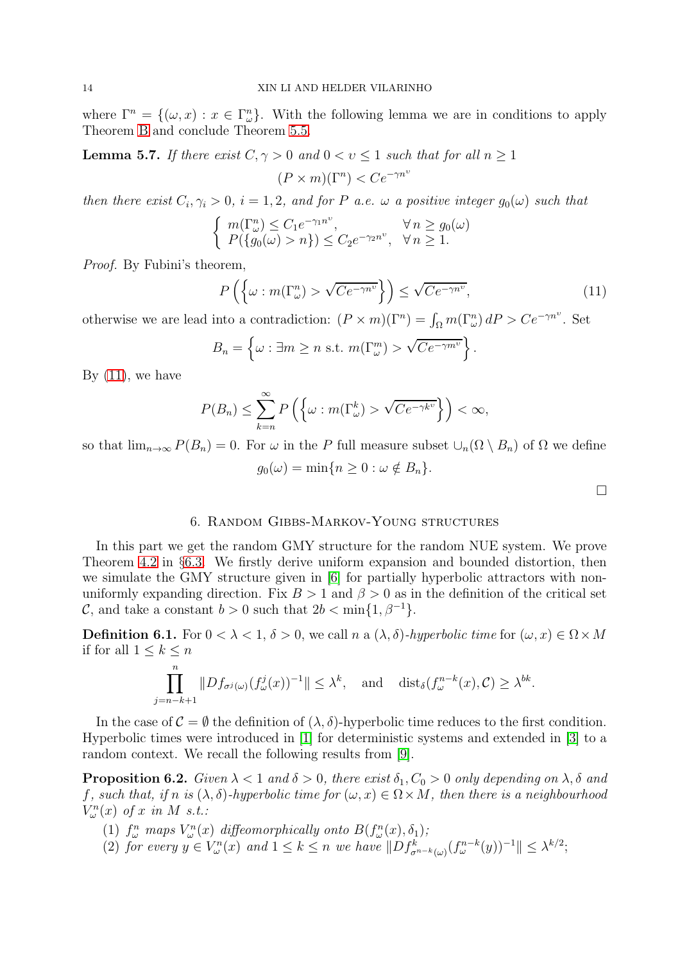where  $\Gamma^n = \{(\omega, x) : x \in \Gamma^n_\omega\}.$  With the following lemma we are in conditions to apply Theorem [B](#page-4-1) and conclude Theorem [5.5.](#page-11-1)

<span id="page-13-1"></span>**Lemma 5.7.** If there exist  $C, \gamma > 0$  and  $0 < v \le 1$  such that for all  $n \ge 1$ 

$$
(P \times m)(\Gamma^n) < Ce^{-\gamma n^v}
$$

then there exist  $C_i, \gamma_i > 0$ ,  $i = 1, 2$ , and for P a.e.  $\omega$  a positive integer  $g_0(\omega)$  such that

$$
\begin{cases} m(\Gamma_{\omega}^n) \le C_1 e^{-\gamma_1 n^{\upsilon}}, & \forall n \ge g_0(\omega) \\ P(\lbrace g_0(\omega) > n \rbrace) \le C_2 e^{-\gamma_2 n^{\upsilon}}, & \forall n \ge 1. \end{cases}
$$

Proof. By Fubini's theorem,

<span id="page-13-2"></span>
$$
P\left(\left\{\omega : m(\Gamma_{\omega}^{n}) > \sqrt{Ce^{-\gamma n^{\upsilon}}}\right\}\right) \leq \sqrt{Ce^{-\gamma n^{\upsilon}}},\tag{11}
$$

otherwise we are lead into a contradiction:  $(P \times m)(\Gamma^n) = \int_{\Omega} m(\Gamma^n_{\omega}) dP > Ce^{-\gamma n^{\nu}}$ . Set

$$
B_n = \left\{ \omega : \exists m \ge n \text{ s.t. } m(\Gamma^m_{\omega}) > \sqrt{Ce^{-\gamma m^{\upsilon}}} \right\}.
$$

By  $(11)$ , we have

$$
P(B_n) \le \sum_{k=n}^{\infty} P\left(\left\{\omega : m(\Gamma_{\omega}^k) > \sqrt{Ce^{-\gamma k^{\upsilon}}}\right\}\right) < \infty,
$$

so that  $\lim_{n\to\infty} P(B_n) = 0$ . For  $\omega$  in the P full measure subset  $\cup_n(\Omega \setminus B_n)$  of  $\Omega$  we define

$$
g_0(\omega) = \min\{n \ge 0 : \omega \notin B_n\}.
$$

 $\Box$ 

# 6. Random Gibbs-Markov-Young structures

<span id="page-13-0"></span>In this part we get the random GMY structure for the random NUE system. We prove Theorem [4.2](#page-6-0) in §[6.3.](#page-18-0) We firstly derive uniform expansion and bounded distortion, then we simulate the GMY structure given in [\[6\]](#page-28-22) for partially hyperbolic attractors with nonuniformly expanding direction. Fix  $B > 1$  and  $\beta > 0$  as in the definition of the critical set C, and take a constant  $b > 0$  such that  $2b < \min\{1, \beta^{-1}\}.$ 

**Definition 6.1.** For  $0 < \lambda < 1$ ,  $\delta > 0$ , we call n a  $(\lambda, \delta)$ -hyperbolic time for  $(\omega, x) \in \Omega \times M$ if for all  $1 \leq k \leq n$ 

$$
\prod_{j=n-k+1}^{n} \|Df_{\sigma^{j}(\omega)}(f_{\omega}^{j}(x))^{-1}\| \leq \lambda^{k}, \text{ and } \text{dist}_{\delta}(f_{\omega}^{n-k}(x), \mathcal{C}) \geq \lambda^{bk}.
$$

In the case of  $\mathcal{C} = \emptyset$  the definition of  $(\lambda, \delta)$ -hyperbolic time reduces to the first condition. Hyperbolic times were introduced in [\[1\]](#page-27-3) for deterministic systems and extended in [\[3\]](#page-27-2) to a random context. We recall the following results from [\[9\]](#page-28-17).

<span id="page-13-3"></span>**Proposition 6.2.** Given  $\lambda < 1$  and  $\delta > 0$ , there exist  $\delta_1, C_0 > 0$  only depending on  $\lambda, \delta$  and f, such that, if n is  $(\lambda, \delta)$ -hyperbolic time for  $(\omega, x) \in \Omega \times M$ , then there is a neighbourhood  $V_{\omega}^{n}(x)$  of x in M s.t.:

- (1)  $f^n_\omega$  maps  $V^n_\omega(x)$  diffeomorphically onto  $B(f^n_\omega(x), \delta_1);$
- (2) for every  $y \in V_{\omega}^n(x)$  and  $1 \leq k \leq n$  we have  $||Df_{\sigma^{n-k}(\omega)}^k(f_{\omega}^{n-k}(y))^{-1}|| \leq \lambda^{k/2}$ ;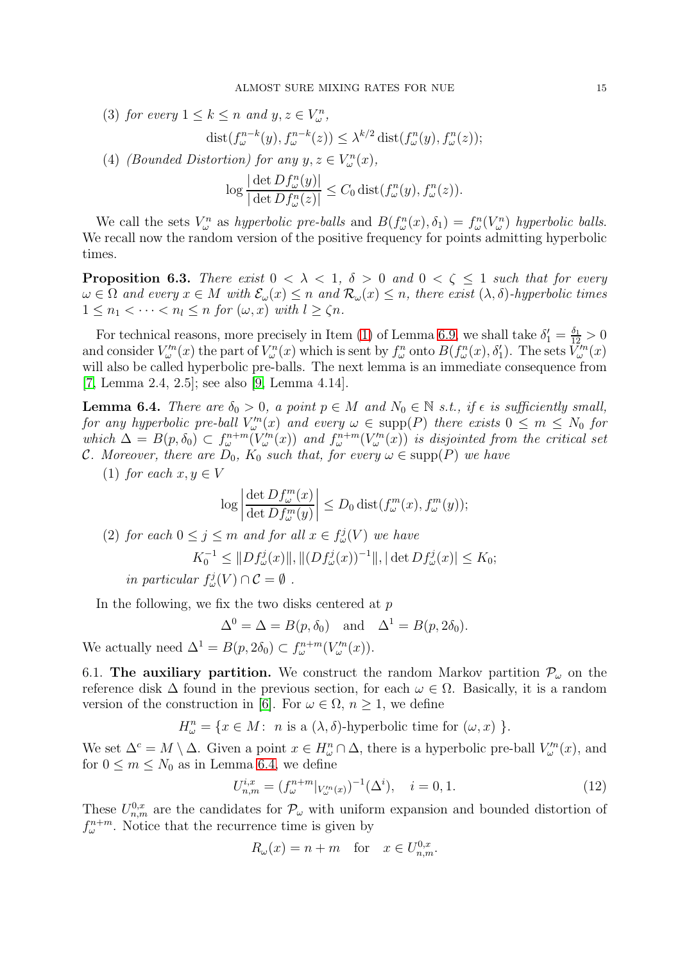(3) for every  $1 \leq k \leq n$  and  $y, z \in V_{\omega}^{n}$ ,

$$
dist(f_{\omega}^{n-k}(y), f_{\omega}^{n-k}(z)) \leq \lambda^{k/2} dist(f_{\omega}^{n}(y), f_{\omega}^{n}(z));
$$

(4) (Bounded Distortion) for any  $y, z \in V_{\omega}^{n}(x)$ ,

$$
\log \frac{|\det Df_{\omega}^n(y)|}{|\det Df_{\omega}^n(z)|} \leq C_0 \operatorname{dist}(f_{\omega}^n(y), f_{\omega}^n(z)).
$$

We call the sets  $V_\omega^n$  as hyperbolic pre-balls and  $B(f_\omega^n(x), \delta_1) = f_\omega^n(V_\omega^n)$  hyperbolic balls. We recall now the random version of the positive frequency for points admitting hyperbolic times.

<span id="page-14-0"></span>**Proposition 6.3.** There exist  $0 < \lambda < 1$ ,  $\delta > 0$  and  $0 < \zeta \le 1$  such that for every  $\omega \in \Omega$  and every  $x \in M$  with  $\mathcal{E}_{\omega}(x) \leq n$  and  $\mathcal{R}_{\omega}(x) \leq n$ , there exist  $(\lambda, \delta)$ -hyperbolic times  $1 \leq n_1 < \cdots < n_l \leq n$  for  $(\omega, x)$  with  $l \geq \zeta n$ .

For technical reasons, more precisely in Item [\(1\)](#page-18-1) of Lemma 6.9, we shall take  $\delta_1' = \frac{\delta_1}{12} > 0$ and consider  $V_{\omega}^{n}(x)$  the part of  $V_{\omega}^{n}(x)$  which is sent by  $f_{\omega}^{n}$  onto  $B(f_{\omega}^{n}(x), \delta_{1}')$ . The sets  $\tilde{V}_{\omega}^{n}(x)$ will also be called hyperbolic pre-balls. The next lemma is an immediate consequence from [\[7,](#page-28-23) Lemma 2.4, 2.5]; see also [\[9,](#page-28-17) Lemma 4.14].

<span id="page-14-1"></span>**Lemma 6.4.** There are  $\delta_0 > 0$ , a point  $p \in M$  and  $N_0 \in \mathbb{N}$  s.t., if  $\epsilon$  is sufficiently small, for any hyperbolic pre-ball  $V_m^n(x)$  and every  $\omega \in \text{supp}(P)$  there exists  $0 \leq m \leq N_0$  for which  $\Delta = B(p, \delta_0) \subset f_{\omega}^{n+m}(V_{\omega}^m(x))$  and  $f_{\omega}^{n+m}(V_{\omega}^m(x))$  is disjointed from the critical set C. Moreover, there are  $D_0$ ,  $K_0$  such that, for every  $\omega \in \text{supp}(P)$  we have

(1) for each  $x, y \in V$ 

$$
\log \left| \frac{\det Df_{\omega}^m(x)}{\det Df_{\omega}^m(y)} \right| \le D_0 \operatorname{dist}(f_{\omega}^m(x), f_{\omega}^m(y));
$$

(2) for each  $0 \le j \le m$  and for all  $x \in f^j_\omega(V)$  we have

$$
K_0^{-1} \leq ||Df_{\omega}^j(x)||, ||(Df_{\omega}^j(x))^{-1}||, |\det Df_{\omega}^j(x)| \leq K_0;
$$

in particular  $f^j_\omega(V) \cap C = \emptyset$ .

In the following, we fix the two disks centered at  $p$ 

$$
\Delta^0 = \Delta = B(p, \delta_0) \text{ and } \Delta^1 = B(p, 2\delta_0).
$$

We actually need  $\Delta^1 = B(p, 2\delta_0) \subset f_{\omega}^{n+m}(V_{\omega}^m(x)).$ 

6.1. The auxiliary partition. We construct the random Markov partition  $\mathcal{P}_{\omega}$  on the reference disk  $\Delta$  found in the previous section, for each  $\omega \in \Omega$ . Basically, it is a random version of the construction in [\[6\]](#page-28-22). For  $\omega \in \Omega$ ,  $n > 1$ , we define

 $H_{\omega}^{n} = \{x \in M: n \text{ is a } (\lambda, \delta) \text{-hyperbolic time for } (\omega, x) \}.$ 

We set  $\Delta^c = M \setminus \Delta$ . Given a point  $x \in H^n_\omega \cap \Delta$ , there is a hyperbolic pre-ball  $V^m_\omega(x)$ , and for  $0 \leq m \leq N_0$  as in Lemma [6.4,](#page-14-1) we define

<span id="page-14-2"></span>
$$
U_{n,m}^{i,x} = (f_{\omega}^{n+m}|_{V_{\omega}^{i,n}(x)})^{-1}(\Delta^i), \quad i = 0, 1.
$$
 (12)

These  $U_{n,m}^{0,x}$  are the candidates for  $\mathcal{P}_{\omega}$  with uniform expansion and bounded distortion of  $f_{\omega}^{n+m}$ . Notice that the recurrence time is given by

$$
R_{\omega}(x) = n + m \quad \text{for} \quad x \in U_{n,m}^{0,x}.
$$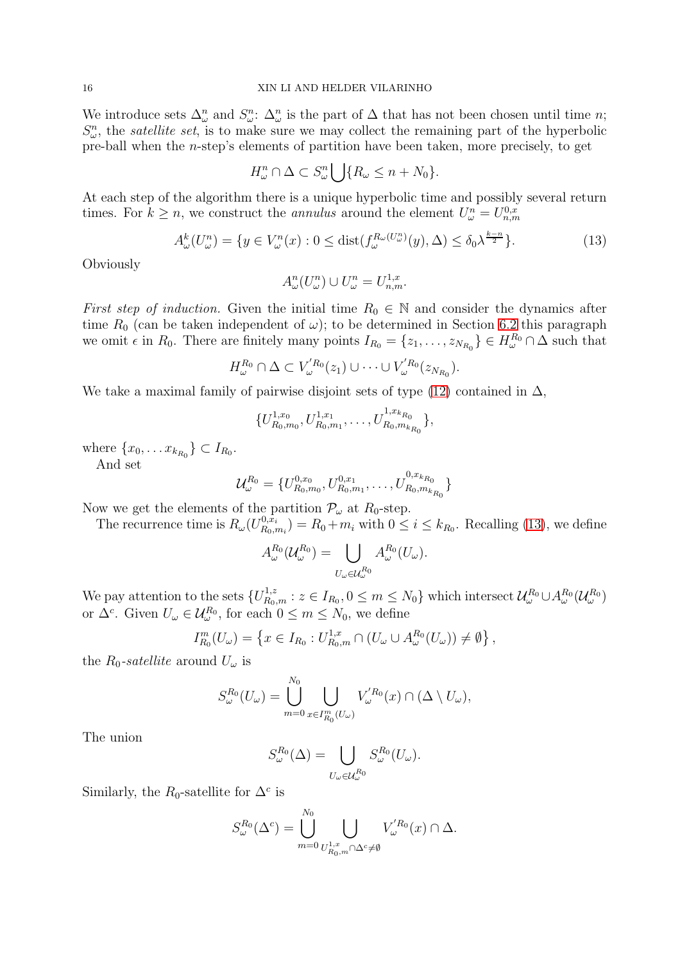We introduce sets  $\Delta^n_{\omega}$  and  $S^n_{\omega}$ :  $\Delta^n_{\omega}$  is the part of  $\Delta$  that has not been chosen until time *n*;  $S_{\omega}^{n}$ , the *satellite set*, is to make sure we may collect the remaining part of the hyperbolic pre-ball when the  $n$ -step's elements of partition have been taken, more precisely, to get

$$
H_{\omega}^n \cap \Delta \subset S_{\omega}^n \bigcup \{ R_{\omega} \leq n + N_0 \}.
$$

At each step of the algorithm there is a unique hyperbolic time and possibly several return times. For  $k \geq n$ , we construct the *annulus* around the element  $U_{\omega}^n = U_{n,m}^{0,x}$ 

<span id="page-15-0"></span>
$$
A^k_\omega(U^n_\omega) = \{ y \in V^n_\omega(x) : 0 \le \text{dist}(f^{R_\omega(U^n_\omega)}_\omega(y), \Delta) \le \delta_0 \lambda^{\frac{k-n}{2}} \}. \tag{13}
$$

**Obviously** 

$$
A_{\omega}^n(U_{\omega}^n) \cup U_{\omega}^n = U_{n,m}^{1,x}.
$$

First step of induction. Given the initial time  $R_0 \in \mathbb{N}$  and consider the dynamics after time  $R_0$  (can be taken independent of  $\omega$ ); to be determined in Section [6.2](#page-17-0) this paragraph we omit  $\epsilon$  in  $R_0$ . There are finitely many points  $I_{R_0} = \{z_1, \ldots, z_{N_{R_0}}\} \in H^{R_0}_{\omega} \cap \Delta$  such that

$$
H_{\omega}^{R_0} \cap \Delta \subset V_{\omega}^{'R_0}(z_1) \cup \cdots \cup V_{\omega}^{'R_0}(z_{N_{R_0}}).
$$

We take a maximal family of pairwise disjoint sets of type  $(12)$  contained in  $\Delta$ ,

$$
\{U_{R_0,m_0}^{1,x_0}, U_{R_0,m_1}^{1,x_1}, \ldots, U_{R_0,m_{k_{R_0}}}^{1,x_{k_{R_0}}}\},\
$$

where  $\{x_0, \ldots x_{k_{R_0}}\} \subset I_{R_0}$ .

And set

$$
\mathcal{U}_{\omega}^{R_0} = \{U_{R_0,m_0}^{0,x_0}, U_{R_0,m_1}^{0,x_1}, \ldots, U_{R_0,m_{k_{R_0}}}^{0,x_{k_{R_0}}}\}
$$

Now we get the elements of the partition  $\mathcal{P}_{\omega}$  at  $R_0$ -step.

The recurrence time is  $R_{\omega}(U_{R_0,i}^{0,\bar{x}_i})$  $R_{0,m_i}^{0,x_i}$  =  $R_0+m_i$  with  $0 \leq i \leq k_{R_0}$ . Recalling [\(13\)](#page-15-0), we define

$$
A_{\omega}^{R_0}(\mathcal{U}_{\omega}^{R_0}) = \bigcup_{U_{\omega} \in \mathcal{U}_{\omega}^{R_0}} A_{\omega}^{R_0}(U_{\omega}).
$$

We pay attention to the sets  $\{U^{1,z}_{R_0,m}: z \in I_{R_0}, 0 \leq m \leq N_0\}$  which intersect  $\mathcal{U}^{R_0}_{\omega} \cup A^{R_0}_{\omega}(\mathcal{U}^{R_0}_{\omega})$ or  $\Delta^c$ . Given  $U_{\omega} \in \mathcal{U}_{\omega}^{R_0}$ , for each  $0 \leq m \leq N_0$ , we define

$$
I_{R_0}^m(U_\omega) = \left\{ x \in I_{R_0} : U_{R_0,m}^{1,x} \cap (U_\omega \cup A_\omega^{R_0}(U_\omega)) \neq \emptyset \right\},\,
$$

the  $R_0$ -satellite around  $U_\omega$  is

$$
S_{\omega}^{R_0}(U_{\omega}) = \bigcup_{m=0}^{N_0} \bigcup_{x \in I_{R_0}^m(U_{\omega})} V_{\omega}^{'R_0}(x) \cap (\Delta \setminus U_{\omega}),
$$

The union

$$
S_{\omega}^{R_0}(\Delta) = \bigcup_{U_{\omega} \in \mathcal{U}_{\omega}^{R_0}} S_{\omega}^{R_0}(U_{\omega}).
$$

Similarly, the  $R_0$ -satellite for  $\Delta^c$  is

$$
S_{\omega}^{R_0}(\Delta^c) = \bigcup_{m=0}^{N_0} \bigcup_{U_{R_0,m}^{1,x} \cap \Delta^c \neq \emptyset} V_{\omega}^{'R_0}(x) \cap \Delta.
$$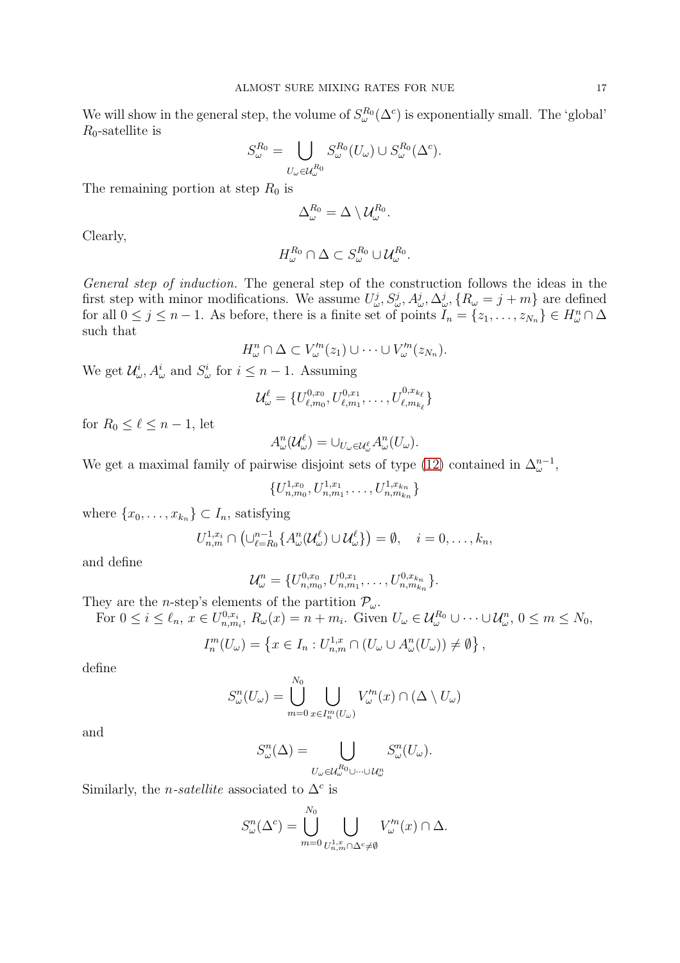We will show in the general step, the volume of  $S_{\omega}^{R_0}(\Delta^c)$  is exponentially small. The 'global'  $R_0$ -satellite is

$$
S_{\omega}^{R_0} = \bigcup_{U_{\omega} \in \mathcal{U}_{\omega}^{R_0}} S_{\omega}^{R_0}(U_{\omega}) \cup S_{\omega}^{R_0}(\Delta^c).
$$

The remaining portion at step  $R_0$  is

$$
\Delta^{R_0}_{\omega} = \Delta \setminus \mathcal{U}^{R_0}_{\omega}.
$$

Clearly,

$$
H_{\omega}^{R_0} \cap \Delta \subset S_{\omega}^{R_0} \cup \mathcal{U}_{\omega}^{R_0}.
$$

General step of induction. The general step of the construction follows the ideas in the first step with minor modifications. We assume  $U_{\omega}^j$ ,  $S_{\omega}^j$ ,  $A_{\omega}^j$ ,  $\Delta_{\omega}^j$ ,  $\{R_{\omega} = j + m\}$  are defined for all  $0 \leq j \leq n-1$ . As before, there is a finite set of points  $I_n = \{z_1, \ldots, z_{N_n}\} \in H^n_\omega \cap \Delta$ such that

$$
H_{\omega}^n \cap \Delta \subset V_{\omega}^{\prime n}(z_1) \cup \cdots \cup V_{\omega}^{\prime n}(z_{N_n}).
$$

We get  $\mathcal{U}^i_{\omega}$ ,  $A^i_{\omega}$  and  $S^i_{\omega}$  for  $i \leq n-1$ . Assuming

$$
\mathcal{U}_{\omega}^{\ell} = \{U_{\ell,m_0}^{0,x_0}, U_{\ell,m_1}^{0,x_1}, \ldots, U_{\ell,m_{k_{\ell}}}^{0,x_{k_{\ell}}}\}
$$

for  $R_0 \leq \ell \leq n-1$ , let

$$
A_{\omega}^n(\mathcal{U}_{\omega}^{\ell})=\cup_{U_{\omega}\in\mathcal{U}_{\omega}^{\ell}}A_{\omega}^n(U_{\omega}).
$$

We get a maximal family of pairwise disjoint sets of type [\(12\)](#page-14-2) contained in  $\Delta^{n-1}_{\omega}$ ,

$$
\{U_{n,m_0}^{1,x_0}, U_{n,m_1}^{1,x_1}, \ldots, U_{n,m_{kn}}^{1,x_{k_n}}\}
$$

where  $\{x_0, \ldots, x_{k_n}\} \subset I_n$ , satisfying

$$
U_{n,m}^{1,x_i} \cap \left(\cup_{\ell=R_0}^{n-1} \{A_{\omega}^n(\mathcal{U}_{\omega}^{\ell}) \cup \mathcal{U}_{\omega}^{\ell}\}\right) = \emptyset, \quad i = 0,\ldots,k_n,
$$

and define

$$
\mathcal{U}_{\omega}^{n} = \{U_{n,m_0}^{0,x_0}, U_{n,m_1}^{0,x_1}, \ldots, U_{n,m_{k_n}}^{0,x_{k_n}}\}.
$$

They are the *n*-step's elements of the partition  $\mathcal{P}_{\omega}$ .

For  $0 \leq i \leq \ell_n$ ,  $x \in U_{n,m_i}^{0,x_i}$ ,  $R_{\omega}(x) = n + m_i$ . Given  $U_{\omega} \in \mathcal{U}_{\omega}^{R_0} \cup \cdots \cup \mathcal{U}_{\omega}^{n}$ ,  $0 \leq m \leq N_0$ ,

$$
I_n^m(U_\omega) = \left\{ x \in I_n : U_{n,m}^{1,x} \cap (U_\omega \cup A_\omega^n(U_\omega)) \neq \emptyset \right\},\
$$

define

$$
S_{\omega}^{n}(U_{\omega}) = \bigcup_{m=0}^{N_0} \bigcup_{x \in I_n^m(U_{\omega})} V_{\omega}'^n(x) \cap (\Delta \setminus U_{\omega})
$$

and

$$
S_{\omega}^{n}(\Delta) = \bigcup_{U_{\omega} \in \mathcal{U}_{\omega}^{R_0} \cup \dots \cup \mathcal{U}_{\omega}^{n}} S_{\omega}^{n}(U_{\omega}).
$$

Similarly, the *n-satellite* associated to  $\Delta^c$  is

$$
S_{\omega}^n(\Delta^c) = \bigcup_{m=0}^{N_0} \bigcup_{U_{n,m}^{1,x} \cap \Delta^c \neq \emptyset} V_{\omega}^{\prime n}(x) \cap \Delta.
$$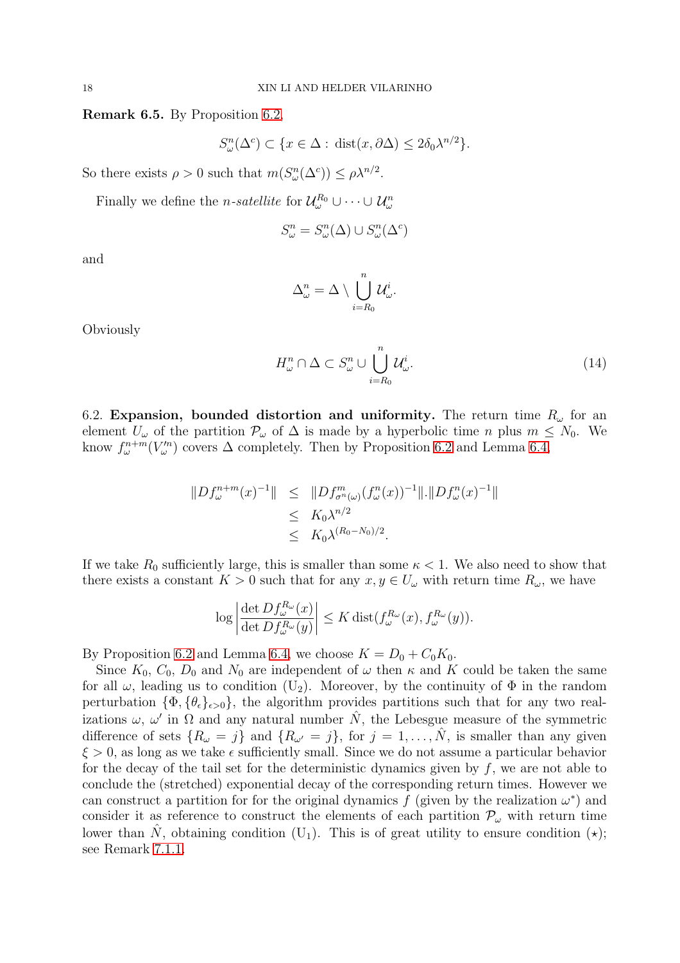<span id="page-17-1"></span>Remark 6.5. By Proposition [6.2,](#page-13-3)

$$
S_{\omega}^{n}(\Delta^{c}) \subset \{x \in \Delta : \text{dist}(x, \partial \Delta) \le 2\delta_0 \lambda^{n/2}\}.
$$

So there exists  $\rho > 0$  such that  $m(S_{\omega}^n(\Delta^c)) \leq \rho \lambda^{n/2}$ .

Finally we define the *n*-satellite for  $\mathcal{U}_{\omega}^{R_0} \cup \cdots \cup \mathcal{U}_{\omega}^n$ 

$$
S^n_{\omega} = S^n_{\omega}(\Delta) \cup S^n_{\omega}(\Delta^c)
$$

and

$$
\Delta^n_\omega = \Delta \setminus \bigcup_{i=R_0}^n \mathcal{U}^i_\omega.
$$

Obviously

<span id="page-17-2"></span>
$$
H_{\omega}^n \cap \Delta \subset S_{\omega}^n \cup \bigcup_{i=R_0}^n \mathcal{U}_{\omega}^i. \tag{14}
$$

<span id="page-17-0"></span>6.2. Expansion, bounded distortion and uniformity. The return time  $R_{\omega}$  for an element  $U_{\omega}$  of the partition  $\mathcal{P}_{\omega}$  of  $\Delta$  is made by a hyperbolic time n plus  $m \leq N_0$ . We know  $f_{\omega}^{n+m}(V_{\omega}^{\prime n})$  covers  $\Delta$  completely. Then by Proposition [6.2](#page-13-3) and Lemma [6.4,](#page-14-1)

$$
||Df_{\omega}^{n+m}(x)^{-1}|| \leq ||Df_{\sigma^{n}(\omega)}^{m}(f_{\omega}^{n}(x))^{-1}||.||Df_{\omega}^{n}(x)^{-1}||
$$
  

$$
\leq K_{0}\lambda^{n/2}
$$
  

$$
\leq K_{0}\lambda^{(R_{0}-N_{0})/2}.
$$

If we take  $R_0$  sufficiently large, this is smaller than some  $\kappa < 1$ . We also need to show that there exists a constant  $K > 0$  such that for any  $x, y \in U_{\omega}$  with return time  $R_{\omega}$ , we have

$$
\log \left| \frac{\det Df_{\omega}^{R_{\omega}}(x)}{\det Df_{\omega}^{R_{\omega}}(y)} \right| \leq K \operatorname{dist}(f_{\omega}^{R_{\omega}}(x), f_{\omega}^{R_{\omega}}(y)).
$$

By Proposition [6.2](#page-13-3) and Lemma [6.4,](#page-14-1) we choose  $K = D_0 + C_0K_0$ .

Since  $K_0$ ,  $C_0$ ,  $D_0$  and  $N_0$  are independent of  $\omega$  then  $\kappa$  and  $K$  could be taken the same for all  $\omega$ , leading us to condition (U<sub>2</sub>). Moreover, by the continuity of  $\Phi$  in the random perturbation  $\{\Phi, \{\theta_{\epsilon}\}_{{\epsilon} > 0}\}\$ , the algorithm provides partitions such that for any two realizations  $\omega, \omega'$  in  $\Omega$  and any natural number  $\hat{N}$ , the Lebesgue measure of the symmetric difference of sets  $\{R_{\omega} = j\}$  and  $\{R_{\omega'} = j\}$ , for  $j = 1, ..., \hat{N}$ , is smaller than any given  $\xi > 0$ , as long as we take  $\epsilon$  sufficiently small. Since we do not assume a particular behavior for the decay of the tail set for the deterministic dynamics given by  $f$ , we are not able to conclude the (stretched) exponential decay of the corresponding return times. However we can construct a partition for for the original dynamics f (given by the realization  $\omega^*$ ) and consider it as reference to construct the elements of each partition  $\mathcal{P}_{\omega}$  with return time lower than  $\hat{N}$ , obtaining condition (U<sub>1</sub>). This is of great utility to ensure condition ( $\star$ ); see Remark [7.1.1.](#page-21-1)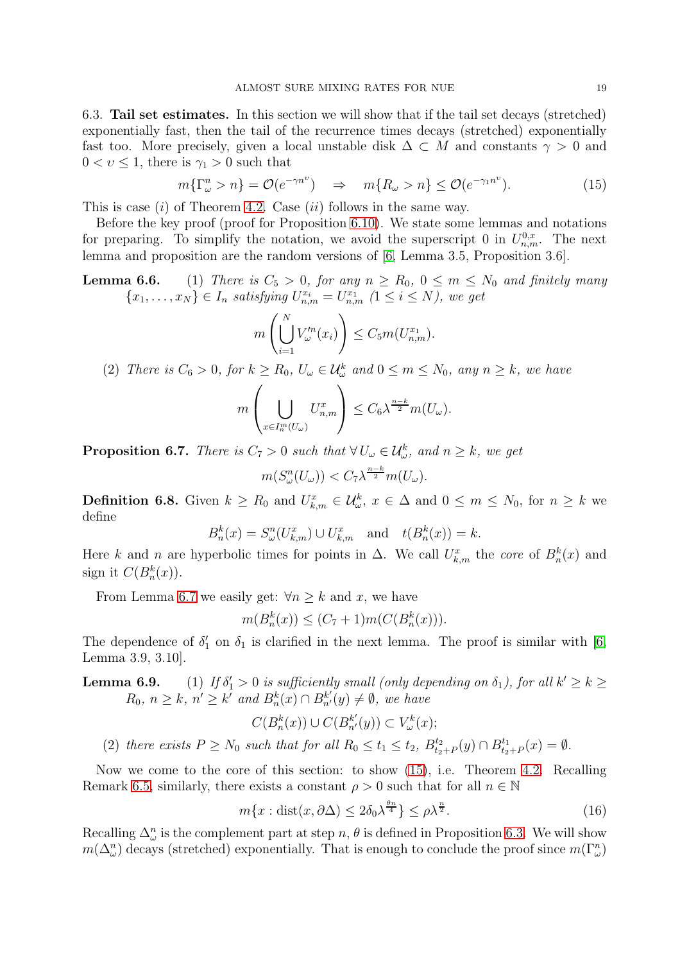<span id="page-18-0"></span>6.3. Tail set estimates. In this section we will show that if the tail set decays (stretched) exponentially fast, then the tail of the recurrence times decays (stretched) exponentially fast too. More precisely, given a local unstable disk  $\Delta \subset M$  and constants  $\gamma > 0$  and  $0 < v \leq 1$ , there is  $\gamma_1 > 0$  such that

<span id="page-18-3"></span>
$$
m\{\Gamma^n_{\omega} > n\} = \mathcal{O}(e^{-\gamma n^{\upsilon}}) \quad \Rightarrow \quad m\{R_{\omega} > n\} \le \mathcal{O}(e^{-\gamma_1 n^{\upsilon}}). \tag{15}
$$

This is case  $(i)$  of Theorem [4.2.](#page-6-0) Case  $(ii)$  follows in the same way.

Before the key proof (proof for Proposition [6.10\)](#page-19-0). We state some lemmas and notations for preparing. To simplify the notation, we avoid the superscript 0 in  $U_{n,m}^{0,x}$ . The next lemma and proposition are the random versions of [\[6,](#page-28-22) Lemma 3.5, Proposition 3.6].

# **Lemma 6.6.** (1) There is  $C_5 > 0$ , for any  $n \ge R_0$ ,  $0 \le m \le N_0$  and finitely many  ${x_1, \ldots, x_N} \in I_n$  satisfying  $U_{n,m}^{x_i} = U_{n,m}^{x_1}$   $(1 \leq i \leq N)$ , we get

$$
m\left(\bigcup_{i=1}^N V_\omega'^n(x_i)\right) \le C_5 m(U_{n,m}^{x_1}).
$$

(2) There is  $C_6 > 0$ , for  $k \ge R_0$ ,  $U_\omega \in \mathcal{U}^k_\omega$  and  $0 \le m \le N_0$ , any  $n \ge k$ , we have

$$
m\left(\bigcup_{x\in I_n^m(U_\omega)} U_{n,m}^x\right) \leq C_6 \lambda^{\frac{n-k}{2}} m(U_\omega).
$$

<span id="page-18-2"></span>**Proposition 6.7.** There is  $C_7 > 0$  such that  $\forall U_{\omega} \in \mathcal{U}_{\omega}^k$ , and  $n \geq k$ , we get

$$
m(S_{\omega}^n(U_{\omega})) < C_7 \lambda^{\frac{n-k}{2}} m(U_{\omega}).
$$

**Definition 6.8.** Given  $k \geq R_0$  and  $U_{k,m}^x \in \mathcal{U}_{\omega}^k$ ,  $x \in \Delta$  and  $0 \leq m \leq N_0$ , for  $n \geq k$  we define

$$
B_n^k(x) = S_\omega^n(U_{k,m}^x) \cup U_{k,m}^x \quad \text{and} \quad t(B_n^k(x)) = k.
$$

Here k and n are hyperbolic times for points in  $\Delta$ . We call  $U_{k,m}^x$  the core of  $B_n^k(x)$  and sign it  $C(B_n^k(x))$ .

From Lemma [6.7](#page-18-2) we easily get:  $\forall n > k$  and x, we have

 $m(B_n^k(x)) \le (C_7 + 1)m(C(B_n^k(x))).$ 

The dependence of  $\delta_1'$  on  $\delta_1$  is clarified in the next lemma. The proof is similar with [\[6,](#page-28-22) Lemma 3.9, 3.10].

<span id="page-18-1"></span>**Lemma 6.9.** (1) If  $\delta'_1 > 0$  is sufficiently small (only depending on  $\delta_1$ ), for all  $k' \geq k \geq$  $R_0, n \geq k, n' \geq k'$  and  $B_n^k(x) \cap B_{n'}^{k'}(y) \neq \emptyset$ , we have

$$
C(B_n^k(x)) \cup C(B_{n'}^{k'}(y)) \subset V_\omega^k(x);
$$

(2) there exists  $P \ge N_0$  such that for all  $R_0 \le t_1 \le t_2$ ,  $B_{t_2}^{t_2}$  $t_{2+P}^{t_2}(y) \cap B_{t_2}^{t_1}$  $t_{2+P}^{t_1}(x) = \emptyset.$ 

Now we come to the core of this section: to show [\(15\)](#page-18-3), i.e. Theorem [4.2.](#page-6-0) Recalling Remark [6.5,](#page-17-1) similarly, there exists a constant  $\rho > 0$  such that for all  $n \in \mathbb{N}$ 

<span id="page-18-4"></span>
$$
m\{x: \text{dist}(x, \partial \Delta) \le 2\delta_0 \lambda^{\frac{\theta n}{4}}\} \le \rho \lambda^{\frac{n}{2}}.\tag{16}
$$

Recalling  $\Delta_{\omega}^n$  is the complement part at step n,  $\theta$  is defined in Proposition [6.3.](#page-14-0) We will show  $m(\Delta^n_{\omega})$  decays (stretched) exponentially. That is enough to conclude the proof since  $m(\Gamma^n_{\omega})$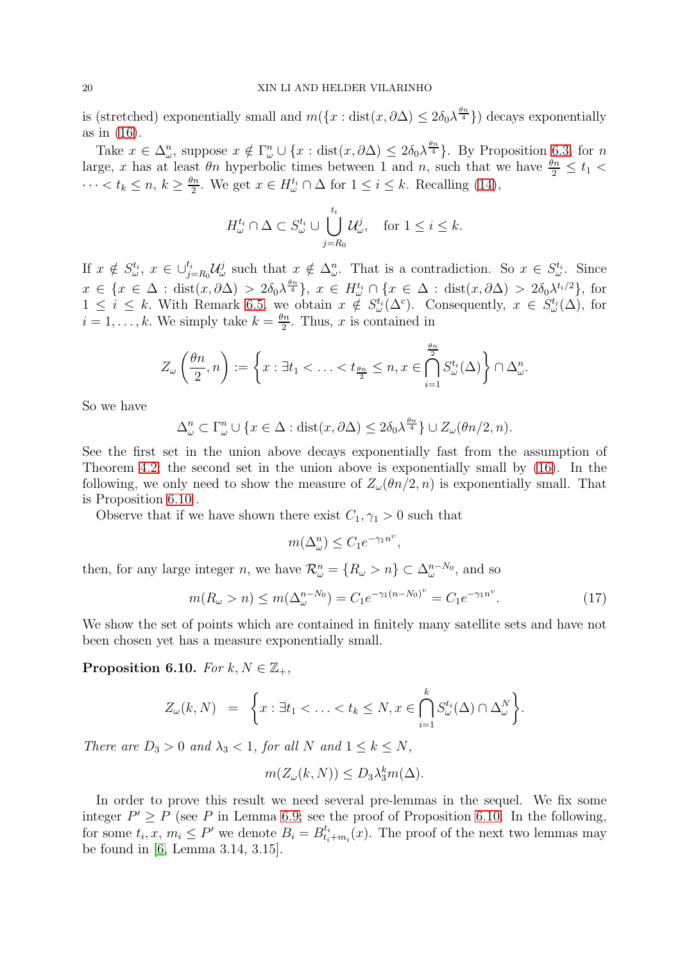is (stretched) exponentially small and  $m({x : dist(x, \partial \Delta) \le 2\delta_0 \lambda^{\frac{\theta n}{4}}})$  decays exponentially as in [\(16\)](#page-18-4).

Take  $x \in \Delta_{\omega}^n$ , suppose  $x \notin \Gamma_{\omega}^n \cup \{x : \text{dist}(x, \partial \Delta) \leq 2\delta_0 \lambda^{\frac{\theta n}{4}}\}\$ . By Proposition [6.3,](#page-14-0) for n large, x has at least  $\theta_n$  hyperbolic times between 1 and n, such that we have  $\frac{\theta_n}{2} \le t_1$  $\cdots < t_k \leq n, k \geq \frac{\theta n}{2}$  $\frac{2n}{2}$ . We get  $x \in H^{t_i}_{\omega} \cap \Delta$  for  $1 \leq i \leq k$ . Recalling [\(14\)](#page-17-2),

$$
H_{\omega}^{t_i} \cap \Delta \subset S_{\omega}^{t_i} \cup \bigcup_{j=R_0}^{t_i} \mathcal{U}_{\omega}^j, \quad \text{for } 1 \le i \le k.
$$

If  $x \notin S_{\omega}^{t_i}, x \in \bigcup_{j=R_0}^{t_i} \mathcal{U}_{\omega}^j$  such that  $x \notin \Delta_{\omega}^n$ . That is a contradiction. So  $x \in S_{\omega}^{t_i}$ . Since  $x \in \{x \in \Delta : \text{dist}(x, \partial \Delta) > 2\delta_0 \lambda^{\frac{\theta n}{4}}\}, x \in H^{t_i}_{\omega} \cap \{x \in \Delta : \text{dist}(x, \partial \Delta) > 2\delta_0 \lambda^{t_i/2}\},\$  $1 \leq i \leq k$ . With Remark [6.5,](#page-17-1) we obtain  $x \notin S_{\omega}^{t_i}(\Delta^c)$ . Consequently,  $x \in S_{\omega}^{t_i}(\Delta)$ , for  $i=1,\ldots,k.$  We simply take  $k=\frac{\theta n}{2}$  $\frac{m}{2}$ . Thus, x is contained in

$$
Z_{\omega}\left(\frac{\theta n}{2},n\right) := \left\{x : \exists t_1 < \ldots < t_{\frac{\theta n}{2}} \leq n, x \in \bigcap_{i=1}^{\frac{\theta n}{2}} S_{\omega}^{t_i}(\Delta)\right\} \cap \Delta_{\omega}^n.
$$

So we have

$$
\Delta_{\omega}^n \subset \Gamma_{\omega}^n \cup \{x \in \Delta : \text{dist}(x, \partial \Delta) \le 2\delta_0 \lambda^{\frac{\theta n}{4}}\} \cup Z_{\omega}(\theta n/2, n).
$$

See the first set in the union above decays exponentially fast from the assumption of Theorem [4.2;](#page-6-0) the second set in the union above is exponentially small by [\(16\)](#page-18-4). In the following, we only need to show the measure of  $Z_\omega(\theta n/2, n)$  is exponentially small. That is Proposition [6.10](#page-19-0) .

Observe that if we have shown there exist  $C_1, \gamma_1 > 0$  such that

$$
m(\Delta^n_{\omega}) \le C_1 e^{-\gamma_1 n^{\upsilon}},
$$

then, for any large integer *n*, we have  $\mathcal{R}_{\omega}^n = \{R_{\omega} > n\} \subset \Delta_{\omega}^{n-N_0}$ , and so

$$
m(R_{\omega} > n) \le m(\Delta_{\omega}^{n-N_0}) = C_1 e^{-\gamma_1 (n-N_0)^{\nu}} = C_1 e^{-\gamma_1 n^{\nu}}.
$$
 (17)

We show the set of points which are contained in finitely many satellite sets and have not been chosen yet has a measure exponentially small.

<span id="page-19-0"></span>Proposition 6.10. For  $k, N \in \mathbb{Z}_+$ ,

$$
Z_{\omega}(k,N) = \left\{ x : \exists t_1 < \ldots < t_k \le N, x \in \bigcap_{i=1}^k S_{\omega}^{t_i}(\Delta) \cap \Delta_{\omega}^N \right\}.
$$

There are  $D_3 > 0$  and  $\lambda_3 < 1$ , for all N and  $1 \leq k \leq N$ ,

$$
m(Z_{\omega}(k,N)) \le D_3 \lambda_3^k m(\Delta).
$$

In order to prove this result we need several pre-lemmas in the sequel. We fix some integer  $P' \ge P$  (see P in Lemma 6.9; see the proof of Proposition [6.10.](#page-19-0) In the following, for some  $t_i, x, m_i \leq P'$  we denote  $B_i = B_{t_i}^{t_i}$  $t_{i+m_i}(x)$ . The proof of the next two lemmas may be found in [\[6,](#page-28-22) Lemma 3.14, 3.15].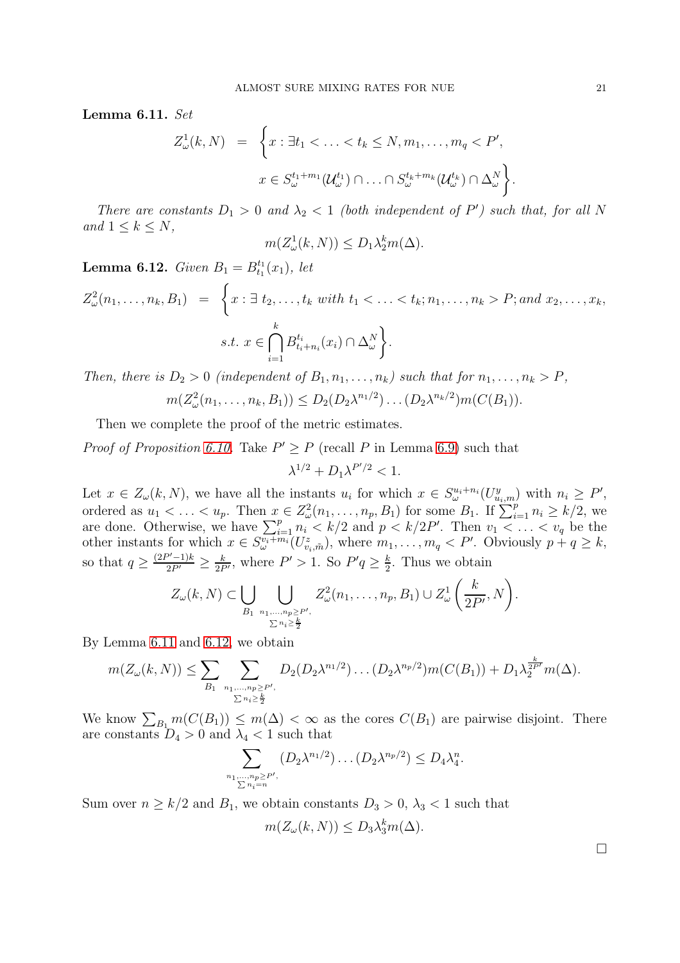<span id="page-20-0"></span>Lemma 6.11. Set

$$
Z_{\omega}^1(k, N) = \left\{ x : \exists t_1 < \ldots < t_k \le N, m_1, \ldots, m_q < P',
$$
  

$$
x \in S_{\omega}^{t_1 + m_1}(\mathcal{U}_{\omega}^{t_1}) \cap \ldots \cap S_{\omega}^{t_k + m_k}(\mathcal{U}_{\omega}^{t_k}) \cap \Delta_{\omega}^N \right\}.
$$

There are constants  $D_1 > 0$  and  $\lambda_2 < 1$  (both independent of P') such that, for all N and  $1 \leq k \leq N$ ,

$$
m(Z_{\omega}^1(k,N)) \le D_1 \lambda_2^k m(\Delta).
$$

<span id="page-20-1"></span>**Lemma 6.12.** Given  $B_1 = B_{t_1}^{t_1}(x_1)$ , let

$$
Z_{\omega}^{2}(n_{1},...,n_{k},B_{1}) = \left\{ x : \exists t_{2},...,t_{k} \text{ with } t_{1} < ... < t_{k}; n_{1},...,n_{k} > P; \text{and } x_{2},...,x_{k},
$$
  

$$
s.t. x \in \bigcap_{i=1}^{k} B_{t_{i}+n_{i}}^{t_{i}}(x_{i}) \cap \Delta_{\omega}^{N} \right\}.
$$

Then, there is  $D_2 > 0$  (independent of  $B_1, n_1, \ldots, n_k$ ) such that for  $n_1, \ldots, n_k > P$ ,  $m(Z_{\omega}^2(n_1,\ldots,n_k,B_1)) \le D_2(D_2\lambda^{n_1/2}) \ldots (D_2\lambda^{n_k/2})m(C(B_1)).$ 

Then we complete the proof of the metric estimates.

*Proof of Proposition [6.10.](#page-19-0)* Take  $P' \ge P$  (recall P in Lemma 6.9) such that

 $\lambda^{1/2} + D_1 \lambda^{P'/2} < 1.$ 

Let  $x \in Z_\omega(k, N)$ , we have all the instants  $u_i$  for which  $x \in S_\omega^{u_i+n_i}(U_{u_i,m}^y)$  with  $n_i \geq P'$ , ordered as  $u_1 < \ldots < u_p$ . Then  $x \in Z^2_\omega(n_1, \ldots, n_p, B_1)$  for some  $B_1$ . If  $\sum_{i=1}^p n_i \geq k/2$ , we are done. Otherwise, we have  $\sum_{i=1}^p n_i \le k/2$  and  $p \le k/2P'$ . Then  $v_1 \le \ldots \le v_q$  be the other instants for which  $x \in S^{v_i+m_i}_{\omega}(U^z_{v_i,\tilde{m}})$ , where  $m_1,\ldots,m_q \lt P'$ . Obviously  $p+q \geq k$ , so that  $q \geq \frac{(2P'-1)k}{2P'} \geq \frac{k}{2P'}$ , where  $P' > 1$ . So  $P'q \geq \frac{k}{2}$  $\frac{k}{2}$ . Thus we obtain

$$
Z_{\omega}(k,N) \subset \bigcup_{B_1} \bigcup_{\substack{n_1,\ldots,n_p \geq P', \\ \sum n_i \geq \frac{k}{2}}} Z_{\omega}^2(n_1,\ldots,n_p,B_1) \cup Z_{\omega}^1\left(\frac{k}{2P'},N\right).
$$

By Lemma [6.11](#page-20-0) and [6.12,](#page-20-1) we obtain

$$
m(Z_{\omega}(k,N)) \leq \sum_{B_1} \sum_{\substack{n_1,\ldots,n_p \geq P', \\ \sum n_i \geq \frac{k}{2} }} D_2(D_2\lambda^{n_1/2}) \ldots (D_2\lambda^{n_p/2}) m(C(B_1)) + D_1\lambda_2^{\frac{k}{2P'}} m(\Delta).
$$

We know  $\sum_{B_1} m(C(B_1)) \le m(\Delta) < \infty$  as the cores  $C(B_1)$  are pairwise disjoint. There are constants  $D_4 > 0$  and  $\lambda_4 < 1$  such that

$$
\sum_{\substack{n_1,\ldots,n_p\ge P',\\ \sum n_i=n}} (D_2 \lambda^{n_1/2}) \ldots (D_2 \lambda^{n_p/2}) \le D_4 \lambda_4^n.
$$

Sum over  $n \geq k/2$  and  $B_1$ , we obtain constants  $D_3 > 0$ ,  $\lambda_3 < 1$  such that

$$
m(Z_{\omega}(k,N)) \le D_3 \lambda_3^k m(\Delta).
$$

 $\Box$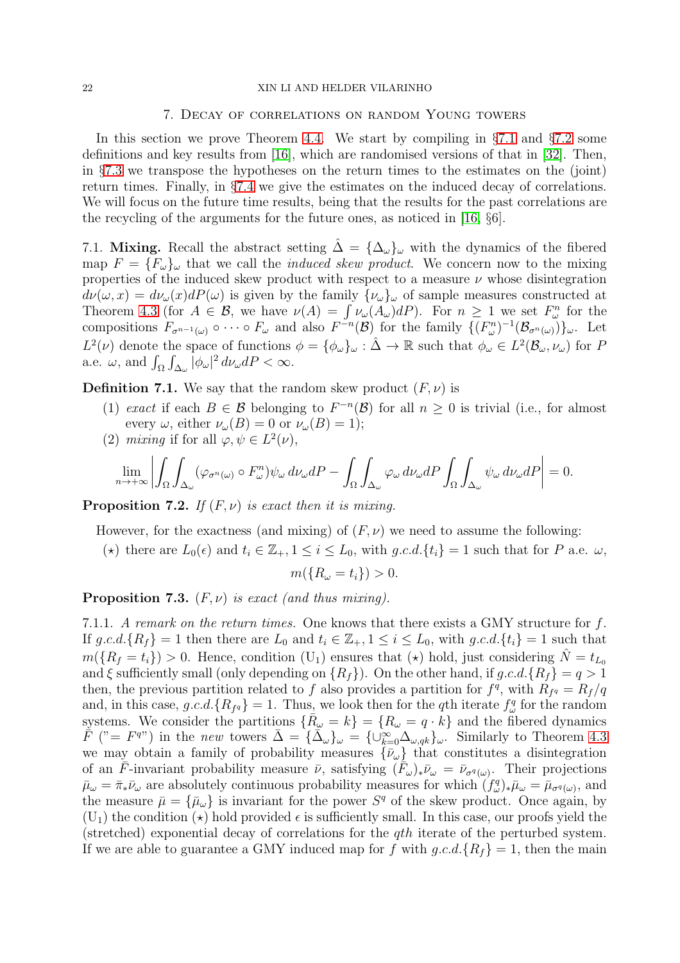### <span id="page-21-0"></span>22 XIN LI AND HELDER VILARINHO

### 7. Decay of correlations on random Young towers

In this section we prove Theorem [4.4.](#page-7-0) We start by compiling in  $\S 7.1$  $\S 7.1$  and  $\S 7.2$  $\S 7.2$  some definitions and key results from [\[16\]](#page-28-11), which are randomised versions of that in [\[32\]](#page-28-5). Then, in §[7.3](#page-23-0) we transpose the hypotheses on the return times to the estimates on the (joint) return times. Finally, in §[7.4](#page-26-0) we give the estimates on the induced decay of correlations. We will focus on the future time results, being that the results for the past correlations are the recycling of the arguments for the future ones, as noticed in [\[16,](#page-28-11) §6].

<span id="page-21-2"></span>7.1. Mixing. Recall the abstract setting  $\tilde{\Delta} = {\{\Delta_{\omega}\}}_{\omega}$  with the dynamics of the fibered map  $F = \{F_{\omega}\}_\omega$  that we call the *induced skew product*. We concern now to the mixing properties of the induced skew product with respect to a measure  $\nu$  whose disintegration  $d\nu(\omega, x) = d\nu_{\omega}(x) dP(\omega)$  is given by the family  $\{\nu_{\omega}\}_\omega$  of sample measures constructed at Theorem [4.3](#page-7-1) (for  $A \in \mathcal{B}$ , we have  $\nu(A) = \int \nu_{\omega}(A_{\omega})dP$ ). For  $n \geq 1$  we set  $F_{\omega}^n$  for the compositions  $F_{\sigma^{n-1}(\omega)} \circ \cdots \circ F_{\omega}$  and also  $F^{-n}(\mathcal{B})$  for the family  $\{(F^n_{\omega})^{-1}(\mathcal{B}_{\sigma^n(\omega)})\}_{\omega}$ . Let  $L^2(\nu)$  denote the space of functions  $\phi = {\phi_\omega}_{\omega} : \hat{\Delta} \to \mathbb{R}$  such that  $\phi_\omega \in L^2(\mathcal{B}_{\omega}, \nu_\omega)$  for P a.e.  $\omega$ , and  $\int_{\Omega} \int_{\Delta_{\omega}} |\phi_{\omega}|^2 d\nu_{\omega} dP < \infty$ .

**Definition 7.1.** We say that the random skew product  $(F, \nu)$  is

- (1) exact if each  $B \in \mathcal{B}$  belonging to  $F^{-n}(\mathcal{B})$  for all  $n \geq 0$  is trivial (i.e., for almost every  $\omega$ , either  $\nu_{\omega}(B) = 0$  or  $\nu_{\omega}(B) = 1$ ;
- (2) mixing if for all  $\varphi, \psi \in L^2(\nu)$ ,

$$
\lim_{n \to +\infty} \left| \int_{\Omega} \int_{\Delta_{\omega}} (\varphi_{\sigma^n(\omega)} \circ F_{\omega}^n) \psi_{\omega} d\nu_{\omega} dP - \int_{\Omega} \int_{\Delta_{\omega}} \varphi_{\omega} d\nu_{\omega} dP \int_{\Omega} \int_{\Delta_{\omega}} \psi_{\omega} d\nu_{\omega} dP \right| = 0.
$$

**Proposition 7.2.** If  $(F, \nu)$  is exact then it is mixing.

However, for the exactness (and mixing) of  $(F, \nu)$  we need to assume the following:

(\*) there are  $L_0(\epsilon)$  and  $t_i \in \mathbb{Z}_+, 1 \leq i \leq L_0$ , with  $g.c.d.\{t_i\} = 1$  such that for P a.e.  $\omega$ ,

 $m({R_{\omega} = t_i}) > 0.$ 

## <span id="page-21-1"></span>**Proposition 7.3.**  $(F, \nu)$  is exact (and thus mixing).

7.1.1. A remark on the return times. One knows that there exists a GMY structure for f. If  $g.c.d.\{R_f\} = 1$  then there are  $L_0$  and  $t_i \in \mathbb{Z}_+, 1 \leq i \leq L_0$ , with  $g.c.d.\{t_i\} = 1$  such that  $m({R<sub>f</sub> = t<sub>i</sub>}) > 0$ . Hence, condition (U<sub>1</sub>) ensures that ( $\star$ ) hold, just considering  $\hat{N} = t_{L_0}$ and  $\xi$  sufficiently small (only depending on  $\{R_f\}$ ). On the other hand, if g.c.d. $\{R_f\} = q > 1$ then, the previous partition related to f also provides a partition for  $f<sup>q</sup>$ , with  $R_{f<sup>q</sup>} = R_f/q$ and, in this case,  $g.c.d.\{R_{f^q}\}=1$ . Thus, we look then for the qth iterate  $f^q_\omega$  for the random systems. We consider the partitions  $\{\overline{R}_{\omega} = k\} = \{R_{\omega} = q \cdot \overline{k}\}\$  and the fibered dynamics  $\overline{F}$  ("=  $F^{q}$ ") in the new towers  $\overline{\Delta} = {\overline{\{\Delta_{\omega}\}}_{\omega}} = {\overline{\{\cup_{k=0}^{\infty}\Delta_{\omega,qk}\}}_{\omega}}$ . Similarly to Theorem [4.3](#page-7-1) we may obtain a family of probability measures  $\{\bar{\nu}_{\omega}\}\$  that constitutes a disintegration of an  $\overline{F}$ -invariant probability measure  $\overline{\nu}$ , satisfying  $(\overline{F}_{\omega})_*\overline{\nu}_{\omega} = \overline{\nu}_{\sigma^q(\omega)}$ . Their projections  $\bar{\mu}_{\omega} = \bar{\pi}_{*}\bar{\nu}_{\omega}$  are absolutely continuous probability measures for which  $(f_{\omega}^{q})_{*}\bar{\mu}_{\omega} = \bar{\mu}_{\sigma^{q}(\omega)}$ , and the measure  $\bar{\mu} = {\bar{\mu}_{\omega}}$  is invariant for the power  $S^q$  of the skew product. Once again, by  $(U_1)$  the condition  $(\star)$  hold provided  $\epsilon$  is sufficiently small. In this case, our proofs yield the (stretched) exponential decay of correlations for the *qth* iterate of the perturbed system. If we are able to guarantee a GMY induced map for f with  $g.c.d.\{R_f\} = 1$ , then the main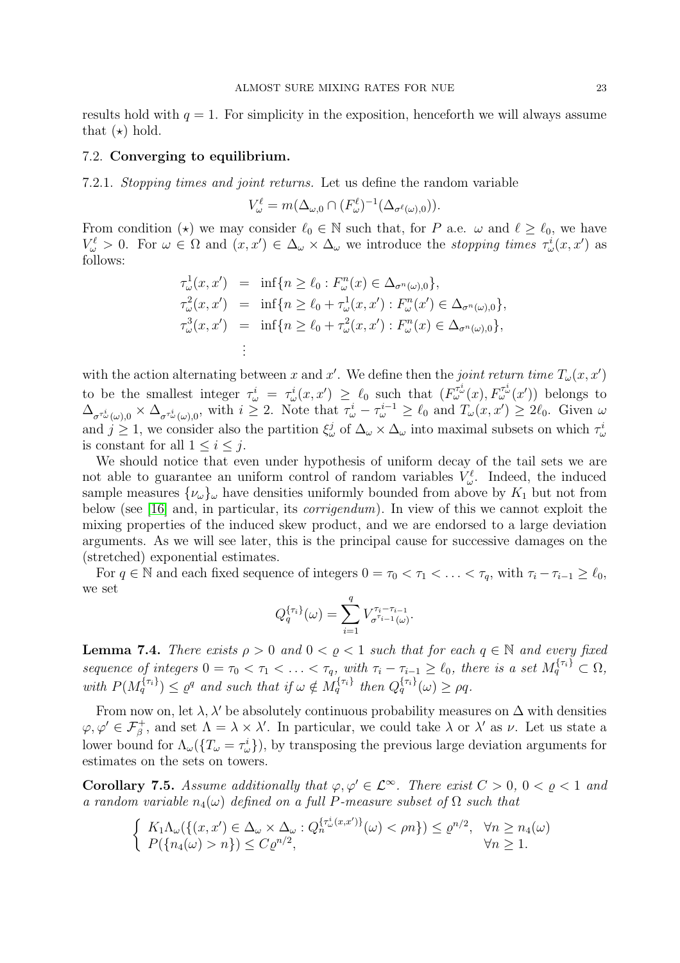results hold with  $q = 1$ . For simplicity in the exposition, henceforth we will always assume that  $(\star)$  hold.

# <span id="page-22-0"></span>7.2. Converging to equilibrium.

7.2.1. Stopping times and joint returns. Let us define the random variable

$$
V_{\omega}^{\ell} = m(\Delta_{\omega,0} \cap (F_{\omega}^{\ell})^{-1}(\Delta_{\sigma^{\ell}(\omega),0})).
$$

From condition ( $\star$ ) we may consider  $\ell_0 \in \mathbb{N}$  such that, for P a.e.  $\omega$  and  $\ell \geq \ell_0$ , we have  $V^{\ell}_{\omega} > 0$ . For  $\omega \in \Omega$  and  $(x, x') \in \Delta_{\omega} \times \Delta_{\omega}$  we introduce the *stopping times*  $\tau_{\omega}^{i}(x, x')$  as follows:

$$
\tau_{\omega}^{1}(x, x') = \inf\{n \geq \ell_{0} : F_{\omega}^{n}(x) \in \Delta_{\sigma^{n}(\omega),0}\},
$$
  
\n
$$
\tau_{\omega}^{2}(x, x') = \inf\{n \geq \ell_{0} + \tau_{\omega}^{1}(x, x') : F_{\omega}^{n}(x') \in \Delta_{\sigma^{n}(\omega),0}\},
$$
  
\n
$$
\tau_{\omega}^{3}(x, x') = \inf\{n \geq \ell_{0} + \tau_{\omega}^{2}(x, x') : F_{\omega}^{n}(x) \in \Delta_{\sigma^{n}(\omega),0}\},
$$
  
\n
$$
\vdots
$$

with the action alternating between x and x'. We define then the joint return time  $T_{\omega}(x, x')$ to be the smallest integer  $\tau^i_\omega = \tau^i_\omega(x, x') \geq \ell_0$  such that  $(F^{T^i_\omega}_\omega(x), F^{T^i_\omega}_\omega(x'))$  belongs to  $\Delta_{\sigma^{\tau^i_\omega}(\omega),0} \times \Delta_{\sigma^{\tau^i_\omega}(\omega),0}$ , with  $i \geq 2$ . Note that  $\tau^i_\omega - \tau^{i-1}_\omega \geq \ell_0$  and  $T_\omega(x,x') \geq 2\ell_0$ . Given  $\omega$ and  $j \geq 1$ , we consider also the partition  $\xi^j_\omega$  of  $\Delta_\omega \times \Delta_\omega$  into maximal subsets on which  $\tau^i_\omega$ is constant for all  $1 \leq i \leq j$ .

We should notice that even under hypothesis of uniform decay of the tail sets we are not able to guarantee an uniform control of random variables  $V^{\ell}_{\omega}$ . Indeed, the induced sample measures  $\{\nu_{\omega}\}_\omega$  have densities uniformly bounded from above by  $K_1$  but not from below (see [\[16\]](#page-28-11) and, in particular, its corrigendum). In view of this we cannot exploit the mixing properties of the induced skew product, and we are endorsed to a large deviation arguments. As we will see later, this is the principal cause for successive damages on the (stretched) exponential estimates.

For  $q \in \mathbb{N}$  and each fixed sequence of integers  $0 = \tau_0 < \tau_1 < \ldots < \tau_q$ , with  $\tau_i - \tau_{i-1} \geq \ell_0$ , we set

$$
Q_q^{\{\tau_i\}}(\omega) = \sum_{i=1}^q V_{\sigma^{\tau_i - \tau_{i-1}}(\omega)}^{\tau_i - \tau_{i-1}}.
$$

**Lemma 7.4.** There exists  $\rho > 0$  and  $0 < \rho < 1$  such that for each  $q \in \mathbb{N}$  and every fixed sequence of integers  $0 = \tau_0 < \tau_1 < \ldots < \tau_q$ , with  $\tau_i - \tau_{i-1} \geq \ell_0$ , there is a set  $M_q^{\{\tau_i\}} \subset \Omega$ , with  $P(M_q^{\{\tau_i\}}) \leq \varrho^q$  and such that if  $\omega \notin M_q^{\{\tau_i\}}$  then  $Q_q^{\{\tau_i\}}(\omega) \geq \rho q$ .

From now on, let  $\lambda$ ,  $\lambda'$  be absolutely continuous probability measures on  $\Delta$  with densities  $\varphi, \varphi' \in \mathcal{F}_{\beta}^+$ , and set  $\Lambda = \lambda \times \lambda'$ . In particular, we could take  $\lambda$  or  $\lambda'$  as  $\nu$ . Let us state a lower bound for  $\Lambda_{\omega}(\{T_{\omega} = \tau_{\omega}^i\})$ , by transposing the previous large deviation arguments for estimates on the sets on towers.

<span id="page-22-1"></span>**Corollary 7.5.** Assume additionally that  $\varphi, \varphi' \in \mathcal{L}^{\infty}$ . There exist  $C > 0$ ,  $0 < \rho < 1$  and a random variable  $n_4(\omega)$  defined on a full P-measure subset of  $\Omega$  such that

$$
\begin{cases} K_1 \Lambda_{\omega}(\{(x, x') \in \Delta_{\omega} \times \Delta_{\omega} : Q_n^{\{\tau_{\omega}^i(x, x')\}}(\omega) < \rho n\}) \leq \varrho^{n/2}, & \forall n \geq n_4(\omega) \\ P(\{n_4(\omega) > n\}) \leq C \varrho^{n/2}, & \forall n \geq 1. \end{cases}
$$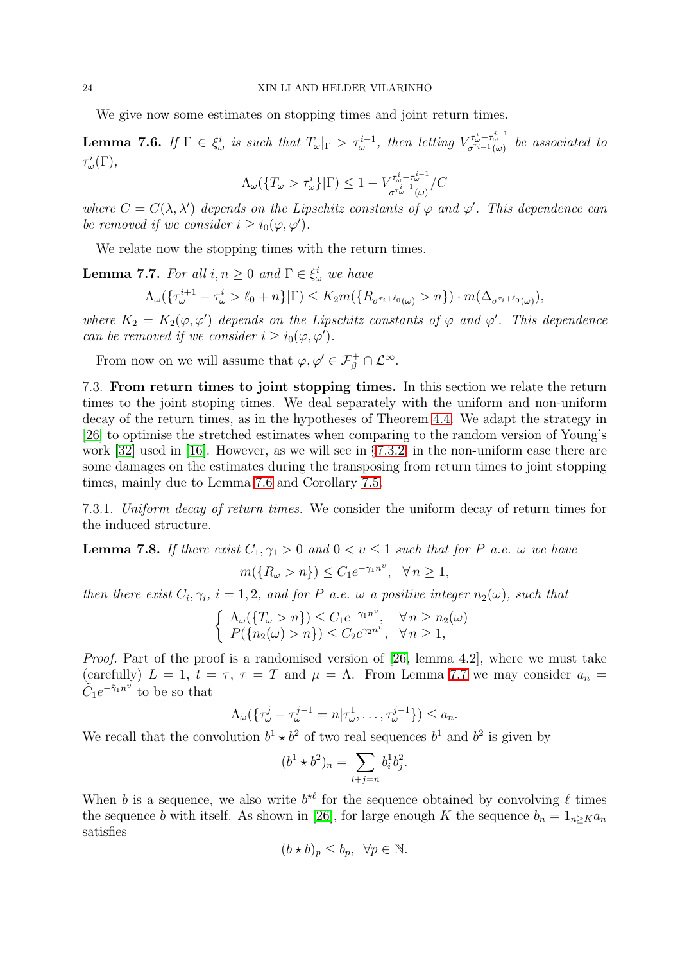We give now some estimates on stopping times and joint return times.

<span id="page-23-1"></span>**Lemma 7.6.** If  $\Gamma \in \xi_{\omega}^{i}$  is such that  $T_{\omega}|_{\Gamma} > \tau_{\omega}^{i-1}$ , then letting  $V^{\tau_{\omega}^{i}-\tau_{\omega}^{i-1}}_{\sigma^{\tau_{i-1}}(\omega)}$  be associated to  $\tau^i_\omega(\Gamma),$ 

$$
\Lambda_\omega(\{T_\omega>\tau_\omega^i\}|\Gamma)\leq 1-V_{\sigma^{\tau_\omega^{i-1}}(\omega)}^{\tau_\omega^i-\tau_\omega^{i-1}}/C
$$

where  $C = C(\lambda, \lambda')$  depends on the Lipschitz constants of  $\varphi$  and  $\varphi'$ . This dependence can be removed if we consider  $i \geq i_0(\varphi, \varphi')$ .

We relate now the stopping times with the return times.

<span id="page-23-2"></span>**Lemma 7.7.** For all  $i, n \geq 0$  and  $\Gamma \in \xi_{\omega}^{i}$  we have

$$
\Lambda_{\omega}(\{\tau_{\omega}^{i+1}-\tau_{\omega}^{i}>\ell_{0}+n\}|\Gamma)\leq K_{2}m(\{R_{\sigma^{\tau_{i}+\ell_{0}}(\omega)}>n\})\cdot m(\Delta_{\sigma^{\tau_{i}+\ell_{0}}(\omega)}),
$$

where  $K_2 = K_2(\varphi, \varphi')$  depends on the Lipschitz constants of  $\varphi$  and  $\varphi'$ . This dependence can be removed if we consider  $i \geq i_0(\varphi, \varphi')$ .

From now on we will assume that  $\varphi, \varphi' \in \mathcal{F}_{\beta}^{+} \cap \mathcal{L}^{\infty}$ .

<span id="page-23-0"></span>7.3. From return times to joint stopping times. In this section we relate the return times to the joint stoping times. We deal separately with the uniform and non-uniform decay of the return times, as in the hypotheses of Theorem [4.4.](#page-7-0) We adapt the strategy in [\[26\]](#page-28-24) to optimise the stretched estimates when comparing to the random version of Young's work [\[32\]](#page-28-5) used in [\[16\]](#page-28-11). However, as we will see in §[7.3.2,](#page-24-0) in the non-uniform case there are some damages on the estimates during the transposing from return times to joint stopping times, mainly due to Lemma [7.6](#page-23-1) and Corollary [7.5.](#page-22-1)

7.3.1. Uniform decay of return times. We consider the uniform decay of return times for the induced structure.

<span id="page-23-3"></span>**Lemma 7.8.** If there exist  $C_1, \gamma_1 > 0$  and  $0 < v \le 1$  such that for P a.e.  $\omega$  we have  $m({R_\omega > n}) \leq C_1 e^{-\gamma_1 n^{\upsilon}}, \ \ \forall n \geq 1,$ 

then there exist  $C_i, \gamma_i$ ,  $i = 1, 2$ , and for P a.e.  $\omega$  a positive integer  $n_2(\omega)$ , such that

$$
\begin{cases} \Lambda_{\omega}(\{T_{\omega} > n\}) \le C_1 e^{-\gamma_1 n^{\upsilon}}, & \forall n \ge n_2(\omega) \\ P(\{n_2(\omega) > n\}) \le C_2 e^{\gamma_2 n^{\upsilon}}, & \forall n \ge 1, \end{cases}
$$

Proof. Part of the proof is a randomised version of [\[26,](#page-28-24) lemma 4.2], where we must take (carefully)  $L = 1$ ,  $t = \tau$ ,  $\tau = T$  and  $\mu = \Lambda$ . From Lemma [7.7](#page-23-2) we may consider  $a_n =$  $ilde{C}_1e^{-\tilde{\gamma}_1n^{\upsilon}}$  to be so that

$$
\Lambda_{\omega}(\{\tau_{\omega}^j-\tau_{\omega}^{j-1}=n|\tau_{\omega}^1,\ldots,\tau_{\omega}^{j-1}\})\leq a_n.
$$

We recall that the convolution  $b^1 \star b^2$  of two real sequences  $b^1$  and  $b^2$  is given by

$$
(b^1 \star b^2)_n = \sum_{i+j=n} b_i^1 b_j^2.
$$

When b is a sequence, we also write  $b^{*l}$  for the sequence obtained by convolving  $\ell$  times the sequence b with itself. As shown in [\[26\]](#page-28-24), for large enough K the sequence  $b_n = 1_{n\geq K} a_n$ satisfies

$$
(b \star b)_p \leq b_p, \ \forall p \in \mathbb{N}.
$$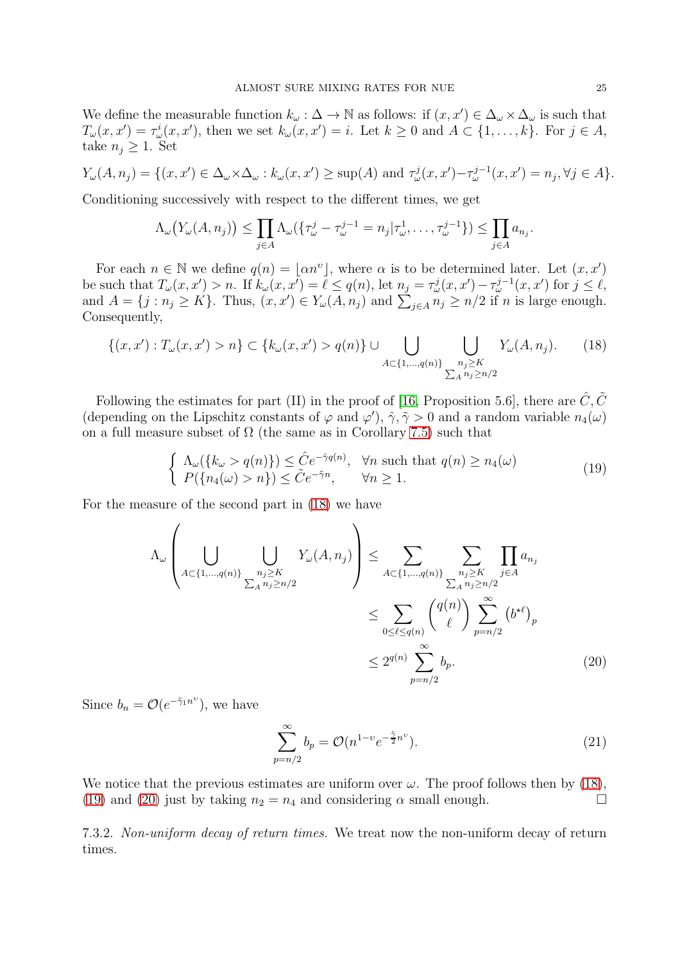We define the measurable function  $k_{\omega} : \Delta \to \mathbb{N}$  as follows: if  $(x, x') \in \Delta_{\omega} \times \Delta_{\omega}$  is such that  $T_{\omega}(x, x') = \tau_{\omega}^{i}(x, x')$ , then we set  $k_{\omega}(x, x') = i$ . Let  $k \geq 0$  and  $A \subset \{1, \ldots, k\}$ . For  $j \in A$ , take  $n_i \geq 1$ . Set

$$
Y_{\omega}(A, n_j) = \{(x, x') \in \Delta_{\omega} \times \Delta_{\omega} : k_{\omega}(x, x') \ge \sup(A) \text{ and } \tau_{\omega}^j(x, x') - \tau_{\omega}^{j-1}(x, x') = n_j, \forall j \in A\}.
$$

Conditioning successively with respect to the different times, we get

$$
\Lambda_{\omega}\big(Y_{\omega}(A,n_j)\big) \leq \prod_{j \in A} \Lambda_{\omega}\big(\{\tau_{\omega}^j - \tau_{\omega}^{j-1} = n_j|\tau_{\omega}^1,\ldots,\tau_{\omega}^{j-1}\}\big) \leq \prod_{j \in A} a_{n_j}.
$$

For each  $n \in \mathbb{N}$  we define  $q(n) = \lfloor \alpha n^v \rfloor$ , where  $\alpha$  is to be determined later. Let  $(x, x')$ be such that  $T_{\omega}(x, x') > n$ . If  $k_{\omega}(x, x') = \ell \leq q(n)$ , let  $n_j = \tau_{\omega}^j(x, x') - \tau_{\omega}^{j-1}(x, x')$  for  $j \leq \ell$ , and  $A = \{j : n_j \ge K\}$ . Thus,  $(x, x') \in Y_\omega(A, n_j)$  and  $\sum_{j \in A} n_j \ge n/2$  if n is large enough. Consequently,

<span id="page-24-1"></span>
$$
\{(x, x') : T_{\omega}(x, x') > n\} \subset \{k_{\omega}(x, x') > q(n)\} \cup \bigcup_{A \subset \{1, \dots, q(n)\}} \bigcup_{\substack{n_j \geq K \\ \sum_A n_j \geq n/2}} Y_{\omega}(A, n_j). \tag{18}
$$

Following the estimates for part (II) in the proof of [\[16,](#page-28-11) Proposition 5.6], there are  $\hat{C}, \tilde{C}$ (depending on the Lipschitz constants of  $\varphi$  and  $\varphi'$ ),  $\hat{\gamma}$ ,  $\tilde{\gamma} > 0$  and a random variable  $n_4(\omega)$ on a full measure subset of  $\Omega$  (the same as in Corollary [7.5\)](#page-22-1) such that

<span id="page-24-2"></span>
$$
\begin{cases}\n\Lambda_{\omega}(\{k_{\omega} > q(n)\}) \leq \hat{C}e^{-\hat{\gamma}q(n)}, & \forall n \text{ such that } q(n) \geq n_4(\omega) \\
P(\{n_4(\omega) > n\}) \leq \tilde{C}e^{-\tilde{\gamma}n}, & \forall n \geq 1.\n\end{cases}
$$
\n(19)

For the measure of the second part in [\(18\)](#page-24-1) we have

$$
\Lambda_{\omega} \left( \bigcup_{A \subset \{1, \dots, q(n)\}} \bigcup_{\substack{n_j \geq K \\ \sum_{A} n_j \geq n/2}} Y_{\omega}(A, n_j) \right) \leq \sum_{A \subset \{1, \dots, q(n)\}} \sum_{\substack{n_j \geq K \\ \sum_{A} n_j \geq n/2}} \prod_{j \in A} a_{n_j}
$$
\n
$$
\leq \sum_{0 \leq \ell \leq q(n)} \binom{q(n)}{\ell} \sum_{p=n/2}^{\infty} (b^{*{\ell}})_p
$$
\n
$$
\leq 2^{q(n)} \sum_{p=n/2}^{\infty} b_p. \tag{20}
$$

Since  $b_n = \mathcal{O}(e^{-\tilde{\gamma}_1 n^{\upsilon}})$ , we have

<span id="page-24-4"></span><span id="page-24-3"></span>
$$
\sum_{p=n/2}^{\infty} b_p = \mathcal{O}(n^{1-v} e^{-\frac{\tilde{\gamma}}{2}n^v}).
$$
\n(21)

We notice that the previous estimates are uniform over  $\omega$ . The proof follows then by [\(18\)](#page-24-1), [\(19\)](#page-24-2) and [\(20\)](#page-24-3) just by taking  $n_2 = n_4$  and considering  $\alpha$  small enough.

<span id="page-24-0"></span>7.3.2. Non-uniform decay of return times. We treat now the non-uniform decay of return times.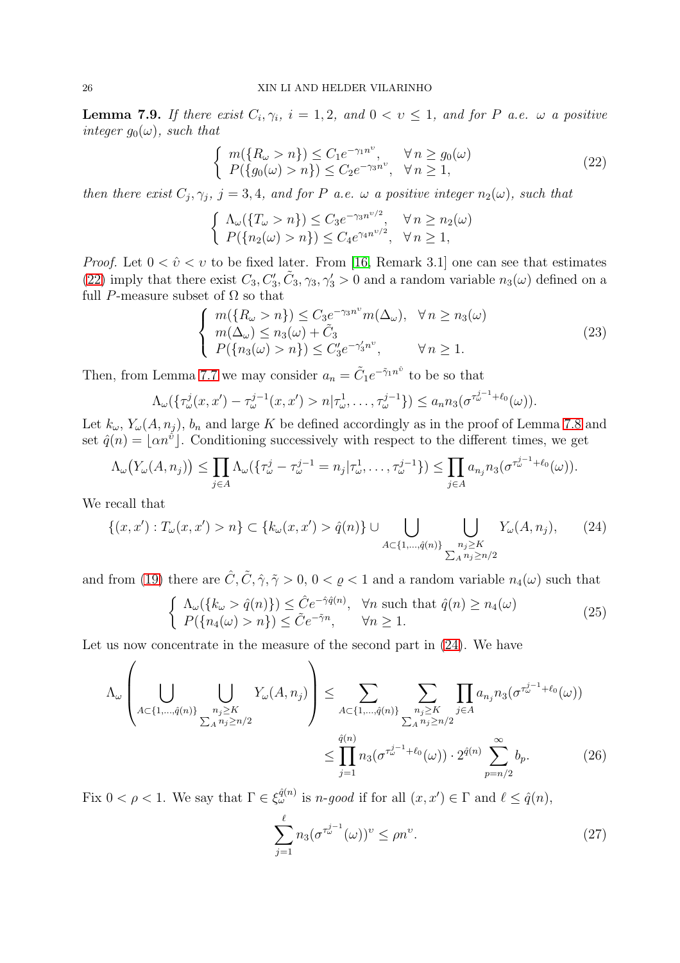<span id="page-25-6"></span>**Lemma 7.9.** If there exist  $C_i, \gamma_i$ ,  $i = 1, 2$ , and  $0 < v \le 1$ , and for P a.e.  $\omega$  a positive integer  $g_0(\omega)$ , such that

<span id="page-25-0"></span>
$$
\begin{cases}\nm(\lbrace R_{\omega} > n \rbrace) \le C_1 e^{-\gamma_1 n^{\upsilon}}, & \forall n \ge g_0(\omega) \\
P(\lbrace g_0(\omega) > n \rbrace) \le C_2 e^{-\gamma_3 n^{\upsilon}}, & \forall n \ge 1,\n\end{cases}
$$
\n(22)

then there exist  $C_j, \gamma_j, j = 3, 4$ , and for P a.e.  $\omega$  a positive integer  $n_2(\omega)$ , such that

$$
\begin{cases} \Lambda_{\omega}(\lbrace T_{\omega} > n \rbrace) \leq C_3 e^{-\gamma_3 n^{\nu/2}}, & \forall n \geq n_2(\omega) \\ P(\lbrace n_2(\omega) > n \rbrace) \leq C_4 e^{\gamma_4 n^{\nu/2}}, & \forall n \geq 1, \end{cases}
$$

*Proof.* Let  $0 < \hat{v} < v$  to be fixed later. From [\[16,](#page-28-11) Remark 3.1] one can see that estimates [\(22\)](#page-25-0) imply that there exist  $C_3, C'_3, \tilde{C}_3, \gamma_3, \gamma'_3 > 0$  and a random variable  $n_3(\omega)$  defined on a full P-measure subset of  $\Omega$  so that

<span id="page-25-2"></span>
$$
\begin{cases}\nm(\lbrace R_{\omega} > n \rbrace) \leq C_3 e^{-\gamma_3 n^{\upsilon}} m(\Delta_{\omega}), \quad \forall n \geq n_3(\omega) \\
m(\Delta_{\omega}) \leq n_3(\omega) + \tilde{C}_3 \\
P(\lbrace n_3(\omega) > n \rbrace) \leq C'_3 e^{-\gamma'_3 n^{\upsilon}}, \qquad \forall n \geq 1.\n\end{cases} \tag{23}
$$

Then, from Lemma [7.7](#page-23-2) we may consider  $a_n = \tilde{C}_1 e^{-\tilde{\gamma}_1 n^{\tilde{\upsilon}}}$  to be so that

$$
\Lambda_{\omega}(\{\tau_{\omega}^j(x, x') - \tau_{\omega}^{j-1}(x, x') > n | \tau_{\omega}^1, \dots, \tau_{\omega}^{j-1}\}) \le a_n n_3(\sigma^{\tau_{\omega}^{j-1} + \ell_0}(\omega)).
$$

Let  $k_{\omega}$ ,  $Y_{\omega}(A, n_j)$ ,  $b_n$  and large K be defined accordingly as in the proof of Lemma [7.8](#page-23-3) and set  $\hat{q}(n) = \lfloor \alpha n^{\hat{v}} \rfloor$ . Conditioning successively with respect to the different times, we get

$$
\Lambda_{\omega}\big(Y_{\omega}(A,n_j)\big) \leq \prod_{j \in A} \Lambda_{\omega}\big(\big\{\tau_{\omega}^j - \tau_{\omega}^{j-1} = n_j|\tau_{\omega}^1,\ldots,\tau_{\omega}^{j-1}\big\}\big) \leq \prod_{j \in A} a_{n_j} n_3\big(\sigma^{\tau_{\omega}^{j-1} + \ell_0}(\omega)\big).
$$

We recall that

<span id="page-25-1"></span>
$$
\{(x, x') : T_{\omega}(x, x') > n\} \subset \{k_{\omega}(x, x') > \hat{q}(n)\} \cup \bigcup_{A \subset \{1, \dots, \hat{q}(n)\}} \bigcup_{\substack{n_j \geq K \\ \sum_{A} n_j \geq n/2}} Y_{\omega}(A, n_j), \qquad (24)
$$

and from [\(19\)](#page-24-2) there are  $\hat{C}, \tilde{C}, \hat{\gamma}, \tilde{\gamma} > 0, 0 < \varrho < 1$  and a random variable  $n_4(\omega)$  such that

<span id="page-25-5"></span>
$$
\begin{cases}\n\Lambda_{\omega}(\{k_{\omega} > \hat{q}(n)\}) \leq \hat{C}e^{-\hat{\gamma}\hat{q}(n)}, & \forall n \text{ such that } \hat{q}(n) \geq n_4(\omega) \\
P(\{n_4(\omega) > n\}) \leq \tilde{C}e^{-\tilde{\gamma}n}, & \forall n \geq 1.\n\end{cases}
$$
\n(25)

Let us now concentrate in the measure of the second part in  $(24)$ . We have

$$
\Lambda_{\omega} \left( \bigcup_{A \subset \{1, \dots, \hat{q}(n)\}} \bigcup_{\substack{n_j \geq K \\ \sum_{A} n_j \geq n/2}} Y_{\omega}(A, n_j) \right) \leq \sum_{A \subset \{1, \dots, \hat{q}(n)\}} \sum_{\substack{n_j \geq K \\ \sum_{A} n_j \geq n/2}} \prod_{j \in A} a_{n_j} n_3 (\sigma^{\tau_{\omega}^{j-1} + \ell_0}(\omega))
$$
\n
$$
\leq \prod_{j=1}^{\hat{q}(n)} n_3 (\sigma^{\tau_{\omega}^{j-1} + \ell_0}(\omega)) \cdot 2^{\hat{q}(n)} \sum_{p=n/2}^{\infty} b_p. \tag{26}
$$

Fix  $0 < \rho < 1$ . We say that  $\Gamma \in \xi_{\omega}^{\hat{q}(n)}$  is *n*-good if for all  $(x, x') \in \Gamma$  and  $\ell \leq \hat{q}(n)$ ,

<span id="page-25-4"></span><span id="page-25-3"></span>
$$
\sum_{j=1}^{\ell} n_3 (\sigma^{\tau_{\omega}^{j-1}}(\omega))^{\nu} \le \rho n^{\nu}.
$$
\n(27)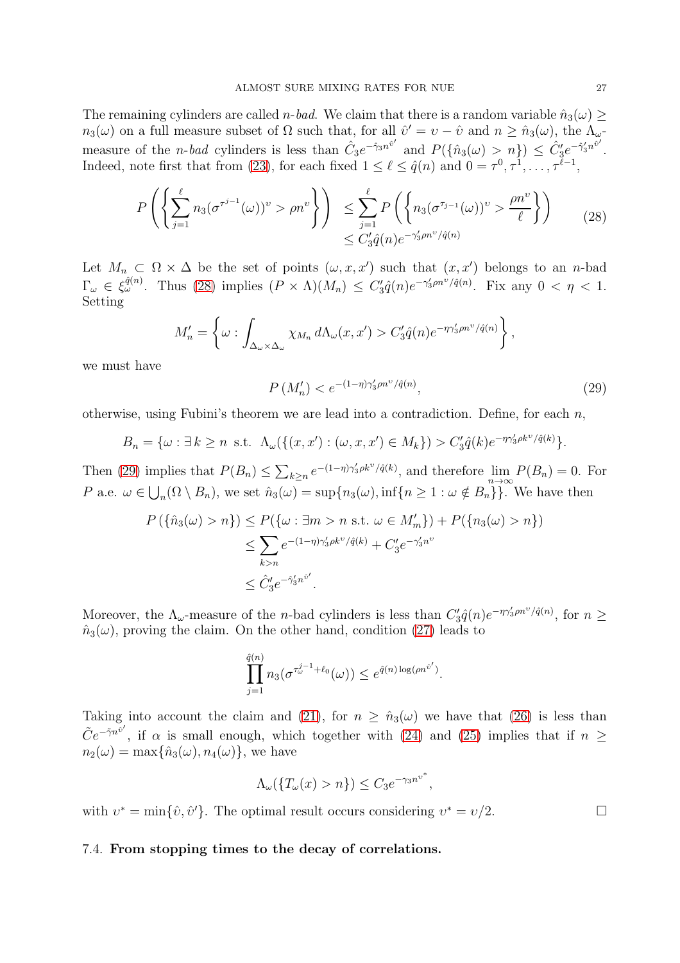The remaining cylinders are called *n*-bad. We claim that there is a random variable  $\hat{n}_3(\omega) \geq$  $n_3(\omega)$  on a full measure subset of  $\Omega$  such that, for all  $\hat{v}' = v - \hat{v}$  and  $n \geq \hat{n}_3(\omega)$ , the  $\Lambda_{\omega}$ measure of the *n*-bad cylinders is less than  $\hat{C}_3 e^{-\hat{\gamma}_3 n^{\hat{v}'}}$  and  $P(\{\hat{n}_3(\omega) > n\}) \leq \hat{C}'_3 e^{-\hat{\gamma}'_3 n^{\hat{v}'}}$ . Indeed, note first that from [\(23\)](#page-25-2), for each fixed  $1 \leq \ell \leq \hat{q}(n)$  and  $0 = \tau^0, \tau^1, \ldots, \tau^{\ell-1}$ ,

<span id="page-26-1"></span>
$$
P\left(\left\{\sum_{j=1}^{\ell} n_3(\sigma^{\tau^{j-1}}(\omega))^{\nu} > \rho n^{\nu}\right\}\right) \leq \sum_{j=1}^{\ell} P\left(\left\{n_3(\sigma^{\tau_{j-1}}(\omega))^{\nu} > \frac{\rho n^{\nu}}{\ell}\right\}\right) \tag{28}
$$

$$
\leq C'_3 \hat{q}(n) e^{-\gamma'_3 \rho n^{\nu}/\hat{q}(n)}
$$

Let  $M_n \subset \Omega \times \Delta$  be the set of points  $(\omega, x, x')$  such that  $(x, x')$  belongs to an *n*-bad  $\Gamma_{\omega} \in \xi_{\omega}^{\hat{q}(n)}$ . Thus [\(28\)](#page-26-1) implies  $(P \times \Lambda)(M_n) \leq C'_3 \hat{q}(n) e^{-\gamma'_3 \rho n^{\nu}/\hat{q}(n)}$ . Fix any  $0 < \eta < 1$ . Setting

$$
M'_n = \left\{ \omega : \int_{\Delta_{\omega} \times \Delta_{\omega}} \chi_{M_n} d\Lambda_{\omega}(x, x') > C'_3 \hat{q}(n) e^{-\eta \gamma'_3 \rho n^{\nu} / \hat{q}(n)} \right\},
$$

we must have

<span id="page-26-2"></span>
$$
P\left(M'_n\right) < e^{-(1-\eta)\gamma'_3 \rho n^\nu / \hat{q}(n)},\tag{29}
$$

,

otherwise, using Fubini's theorem we are lead into a contradiction. Define, for each  $n$ ,

$$
B_n = \{ \omega : \exists k \ge n \text{ s.t. } \Lambda_\omega(\{(x, x') : (\omega, x, x') \in M_k \}) > C_3' \hat{q}(k) e^{-\eta \gamma_3' \rho k^\nu / \hat{q}(k)} \}.
$$

Then [\(29\)](#page-26-2) implies that  $P(B_n) \leq \sum_{k \geq n} e^{-(1-\eta)\gamma_3' \rho k^{\nu}/\hat{q}(k)}$ , and therefore  $\lim_{n \to \infty} P(B_n) = 0$ . For P a.e.  $\omega \in \bigcup_n (\Omega \setminus B_n)$ , we set  $\hat{n}_3(\omega) = \sup\{n_3(\omega), \inf\{n \geq 1 : \omega \notin B_n\}\}\.$  We have then

$$
P(\{\hat{n}_3(\omega) > n\}) \le P(\{\omega : \exists m > n \text{ s.t. } \omega \in M'_m\}) + P(\{n_3(\omega) > n\})
$$
  

$$
\le \sum_{k>n} e^{-(1-\eta)\gamma'_3 \rho k^{\nu}/\hat{q}(k)} + C'_3 e^{-\gamma'_3 n^{\nu}}
$$
  

$$
\le \hat{C}'_3 e^{-\hat{\gamma}'_3 n^{\hat{v}'}}.
$$

Moreover, the  $\Lambda_{\omega}$ -measure of the *n*-bad cylinders is less than  $C'_3\hat{q}(n)e^{-\eta\gamma'_3\rho n^{\nu}/\hat{q}(n)}$ , for  $n \geq$  $\hat{n}_3(\omega)$ , proving the claim. On the other hand, condition [\(27\)](#page-25-3) leads to

$$
\prod_{j=1}^{\hat{q}(n)} n_3(\sigma^{\tau_{\omega}^{j-1}+\ell_0}(\omega)) \leq e^{\hat{q}(n)\log(\rho n^{\hat{v}'})}.
$$

Taking into account the claim and [\(21\)](#page-24-4), for  $n \geq \hat{n}_3(\omega)$  we have that [\(26\)](#page-25-4) is less than  $\tilde{C}e^{-\tilde{\gamma}n^{\tilde{v}'}}$ , if  $\alpha$  is small enough, which together with [\(24\)](#page-25-1) and [\(25\)](#page-25-5) implies that if  $n \geq$  $n_2(\omega) = \max{\hat{n}_3(\omega), n_4(\omega)}$ , we have

$$
\Lambda_{\omega}(\{T_{\omega}(x) > n\}) \leq C_3 e^{-\gamma_3 n^{\nu^*}}
$$

with  $v^* = \min\{\hat{v}, \hat{v}'\}$ . The optimal result occurs considering  $v^* = v/2$ .

### <span id="page-26-0"></span>7.4. From stopping times to the decay of correlations.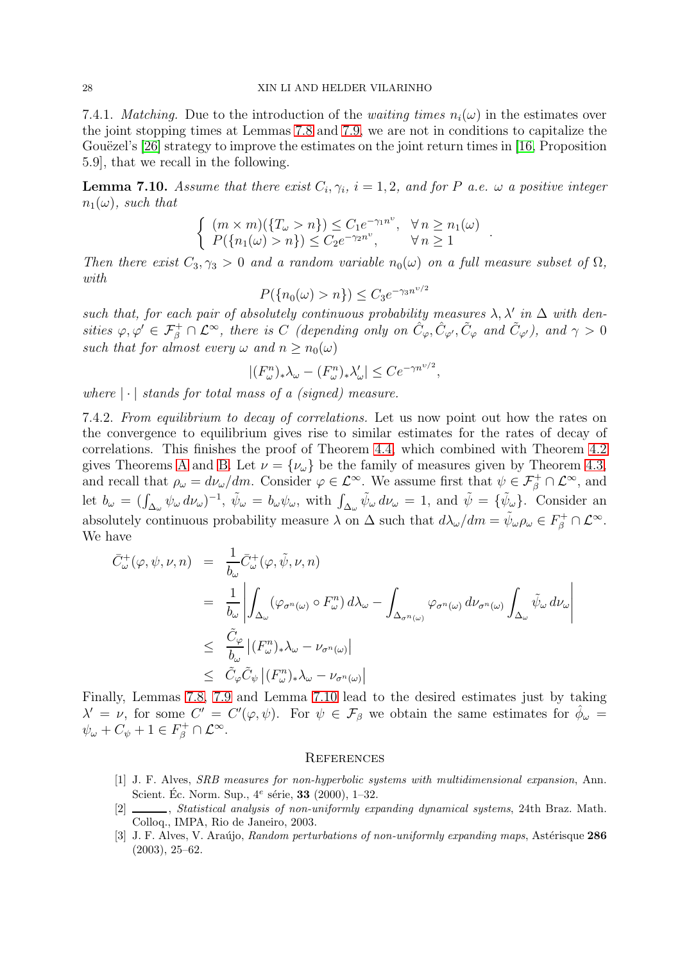7.4.1. *Matching.* Due to the introduction of the *waiting times*  $n_i(\omega)$  in the estimates over the joint stopping times at Lemmas [7.8](#page-23-3) and [7.9,](#page-25-6) we are not in conditions to capitalize the Gouëzel's [\[26\]](#page-28-24) strategy to improve the estimates on the joint return times in [\[16,](#page-28-11) Proposition] 5.9], that we recall in the following.

<span id="page-27-4"></span>**Lemma 7.10.** Assume that there exist  $C_i, \gamma_i$ ,  $i = 1, 2$ , and for P a.e.  $\omega$  a positive integer  $n_1(\omega)$ , such that

$$
\begin{cases} (m \times m)(\{T_{\omega} > n\}) \le C_1 e^{-\gamma_1 n^{\upsilon}}, \quad \forall n \ge n_1(\omega) \\ P(\{n_1(\omega) > n\}) \le C_2 e^{-\gamma_2 n^{\upsilon}}, \quad \forall n \ge 1 \end{cases}
$$

.

Then there exist  $C_3, \gamma_3 > 0$  and a random variable  $n_0(\omega)$  on a full measure subset of  $\Omega$ , with  $\sqrt{2}$ 

$$
P(\{n_0(\omega) > n\}) \le C_3 e^{-\gamma_3 n^{\nu/2}}
$$

such that, for each pair of absolutely continuous probability measures  $\lambda$ ,  $\lambda'$  in  $\Delta$  with densities  $\varphi, \varphi' \in \mathcal{F}_{\beta}^+ \cap \mathcal{L}^{\infty}$ , there is C (depending only on  $\hat{C}_{\varphi}, \hat{C}_{\varphi'}, \tilde{C}_{\varphi}$  and  $\tilde{C}_{\varphi'}$ ), and  $\gamma > 0$ such that for almost every  $\omega$  and  $n \geq n_0(\omega)$ 

$$
|(F_{\omega}^n)_*\lambda_{\omega} - (F_{\omega}^n)_*\lambda_{\omega}'| \le Ce^{-\gamma n^{v/2}},
$$

where  $|\cdot|$  stands for total mass of a (signed) measure.

7.4.2. From equilibrium to decay of correlations. Let us now point out how the rates on the convergence to equilibrium gives rise to similar estimates for the rates of decay of correlations. This finishes the proof of Theorem [4.4,](#page-7-0) which combined with Theorem [4.2](#page-6-0) gives Theorems [A](#page-4-2) and [B.](#page-4-1) Let  $\nu = {\nu_{\omega}}$  be the family of measures given by Theorem [4.3,](#page-7-1) and recall that  $\rho_{\omega} = d\nu_{\omega}/dm$ . Consider  $\varphi \in \mathcal{L}^{\infty}$ . We assume first that  $\psi \in \mathcal{F}_{\beta}^{+} \cap \mathcal{L}^{\infty}$ , and let  $b_{\omega} = (\int_{\Delta_{\omega}} \psi_{\omega} d\nu_{\omega})^{-1}$ ,  $\tilde{\psi}_{\omega} = b_{\omega} \psi_{\omega}$ , with  $\int_{\Delta_{\omega}} \tilde{\psi}_{\omega} d\nu_{\omega} = 1$ , and  $\tilde{\psi} = {\tilde{\psi}_{\omega}}$ . Consider an absolutely continuous probability measure  $\lambda$  on  $\Delta$  such that  $d\lambda_{\omega}/dm = \tilde{\psi}_{\omega}\rho_{\omega} \in F_{\beta}^{+} \cap \mathcal{L}^{\infty}$ . We have

$$
\begin{array}{rcl}\n\bar{C}^{+}_{\omega}(\varphi,\psi,\nu,n) & = & \displaystyle\frac{1}{b_{\omega}}\bar{C}^{+}_{\omega}(\varphi,\tilde{\psi},\nu,n) \\
& = & \displaystyle\frac{1}{b_{\omega}}\left|\int_{\Delta_{\omega}}(\varphi_{\sigma^{n}(\omega)}\circ F_{\omega}^{n})\,d\lambda_{\omega}-\int_{\Delta_{\sigma^{n}(\omega)}}\varphi_{\sigma^{n}(\omega)}\,d\nu_{\sigma^{n}(\omega)}\int_{\Delta_{\omega}}\tilde{\psi}_{\omega}\,d\nu_{\omega}\right| \\
& \leq & \displaystyle\frac{\tilde{C}_{\varphi}}{b_{\omega}}\left|(F_{\omega}^{n})_{*}\lambda_{\omega}-\nu_{\sigma^{n}(\omega)}\right| \\
& \leq & \displaystyle\tilde{C}_{\varphi}\tilde{C}_{\psi}\left|(F_{\omega}^{n})_{*}\lambda_{\omega}-\nu_{\sigma^{n}(\omega)}\right|\n\end{array}
$$

Finally, Lemmas [7.8,](#page-23-3) [7.9](#page-25-6) and Lemma [7.10](#page-27-4) lead to the desired estimates just by taking  $\lambda' = \nu$ , for some  $C' = C'(\varphi, \psi)$ . For  $\psi \in \mathcal{F}_{\beta}$  we obtain the same estimates for  $\hat{\phi}_{\omega} =$  $\psi_{\omega} + C_{\psi} + 1 \in F_{\beta}^+ \cap \mathcal{L}^{\infty}.$ 

### <span id="page-27-0"></span>**REFERENCES**

- <span id="page-27-3"></span>[1] J. F. Alves, SRB measures for non-hyperbolic systems with multidimensional expansion, Ann. Scient. Éc. Norm. Sup.,  $4^e$  série, **33** (2000), 1-32.
- <span id="page-27-1"></span>[2]  $\_\_\_\_\$ , Statistical analysis of non-uniformly expanding dynamical systems, 24th Braz. Math. Colloq., IMPA, Rio de Janeiro, 2003.
- <span id="page-27-2"></span>[3] J. F. Alves, V. Araújo, Random perturbations of non-uniformly expanding maps, Astérisque 286 (2003), 25–62.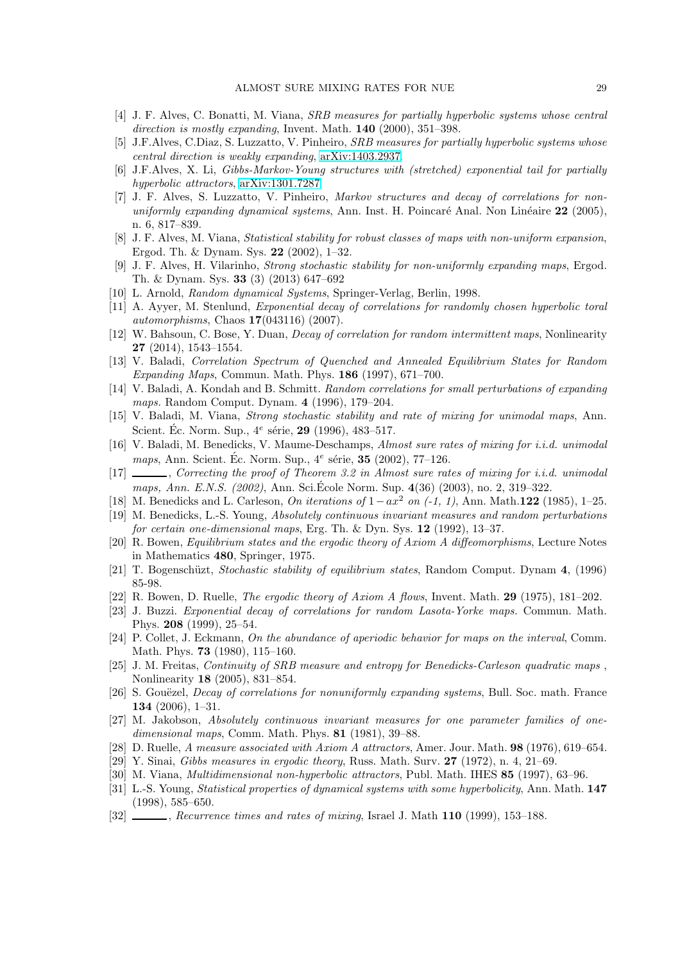- <span id="page-28-15"></span><span id="page-28-14"></span>[4] J. F. Alves, C. Bonatti, M. Viana, SRB measures for partially hyperbolic systems whose central direction is mostly expanding, Invent. Math. **140** (2000), 351-398.
- <span id="page-28-22"></span>[5] J.F.Alves, C.Diaz, S. Luzzatto, V. Pinheiro, SRB measures for partially hyperbolic systems whose central direction is weakly expanding, [arXiv:1403.2937.](http://arxiv.org/abs/1403.2937)
- [6] J.F.Alves, X. Li, Gibbs-Markov-Young structures with (stretched) exponential tail for partially hyperbolic attractors, [arXiv:1301.7287.](http://arxiv.org/abs/1301.7287)
- <span id="page-28-23"></span>[7] J. F. Alves, S. Luzzatto, V. Pinheiro, Markov structures and decay of correlations for nonuniformly expanding dynamical systems, Ann. Inst. H. Poincaré Anal. Non Linéaire  $22$  (2005), n. 6, 817–839.
- <span id="page-28-19"></span>[8] J. F. Alves, M. Viana, Statistical stability for robust classes of maps with non-uniform expansion, Ergod. Th. & Dynam. Sys. 22 (2002), 1–32.
- <span id="page-28-17"></span>[9] J. F. Alves, H. Vilarinho, Strong stochastic stability for non-uniformly expanding maps, Ergod. Th. & Dynam. Sys. 33 (3) (2013) 647–692
- <span id="page-28-16"></span><span id="page-28-12"></span>[10] L. Arnold, Random dynamical Systems, Springer-Verlag, Berlin, 1998.
- [11] A. Ayyer, M. Stenlund, Exponential decay of correlations for randomly chosen hyperbolic toral automorphisms, Chaos 17(043116) (2007).
- <span id="page-28-8"></span>[12] W. Bahsoun, C. Bose, Y. Duan, Decay of correlation for random intermittent maps, Nonlinearity 27 (2014), 1543–1554.
- <span id="page-28-7"></span>[13] V. Baladi, Correlation Spectrum of Quenched and Annealed Equilibrium States for Random Expanding Maps, Commun. Math. Phys. 186 (1997), 671–700.
- <span id="page-28-9"></span>[14] V. Baladi, A. Kondah and B. Schmitt. Random correlations for small perturbations of expanding maps. Random Comput. Dynam. 4 (1996), 179–204.
- <span id="page-28-6"></span>[15] V. Baladi, M. Viana, Strong stochastic stability and rate of mixing for unimodal maps, Ann. Scient. Éc. Norm. Sup.,  $4^e$  série, 29 (1996), 483–517.
- <span id="page-28-11"></span>[16] V. Baladi, M. Benedicks, V. Maume-Deschamps, Almost sure rates of mixing for i.i.d. unimodal maps, Ann. Scient. Éc. Norm. Sup.,  $4^e$  série,  $35$  (2002), 77-126.
- <span id="page-28-18"></span>[17] , Correcting the proof of Theorem 3.2 in Almost sure rates of mixing for i.i.d. unimodal maps, Ann. E.N.S. (2002), Ann. Sci. Ecole Norm. Sup. 4(36) (2003), no. 2, 319–322.
- <span id="page-28-20"></span>[18] M. Benedicks and L. Carleson, On iterations of  $1-ax^2$  on  $(-1, 1)$ , Ann. Math.122 (1985), 1–25.
- [19] M. Benedicks, L.-S. Young, Absolutely continuous invariant measures and random perturbations for certain one-dimensional maps, Erg. Th.  $\&$  Dyn. Sys. 12 (1992), 13–37.
- <span id="page-28-3"></span>[20] R. Bowen, Equilibrium states and the ergodic theory of Axiom A diffeomorphisms, Lecture Notes in Mathematics 480, Springer, 1975.
- <span id="page-28-2"></span>[21] T. Bogenschüzt, Stochastic stability of equilibrium states, Random Comput. Dynam 4, (1996) 85-98.
- <span id="page-28-10"></span> $[22]$  R. Bowen, D. Ruelle, *The ergodic theory of Axiom A flows*, Invent. Math. **29** (1975), 181–202.
- [23] J. Buzzi. Exponential decay of correlations for random Lasota-Yorke maps. Commun. Math. Phys. 208 (1999), 25–54.
- [24] P. Collet, J. Eckmann, On the abundance of aperiodic behavior for maps on the interval, Comm. Math. Phys. 73 (1980), 115–160.
- <span id="page-28-21"></span>[25] J. M. Freitas, Continuity of SRB measure and entropy for Benedicks-Carleson quadratic maps , Nonlinearity 18 (2005), 831–854.
- <span id="page-28-24"></span>[26] S. Gouëzel, *Decay of correlations for nonuniformly expanding systems*, Bull. Soc. math. France 134 (2006), 1–31.
- [27] M. Jakobson, Absolutely continuous invariant measures for one parameter families of onedimensional maps, Comm. Math. Phys.  $81$  (1981), 39–88.
- <span id="page-28-1"></span><span id="page-28-0"></span>[28] D. Ruelle, A measure associated with Axiom A attractors, Amer. Jour. Math. 98 (1976), 619-654.
- <span id="page-28-13"></span> $[29]$  Y. Sinai, *Gibbs measures in ergodic theory*, Russ. Math. Surv. 27 (1972), n. 4, 21–69.
- <span id="page-28-4"></span>[30] M. Viana, *Multidimensional non-hyperbolic attractors*, Publ. Math. IHES 85 (1997), 63–96.
- [31] L.-S. Young, *Statistical properties of dynamical systems with some hyperbolicity*, Ann. Math. 147 (1998), 585–650.
- <span id="page-28-5"></span> $[32]$  , Recurrence times and rates of mixing, Israel J. Math 110 (1999), 153–188.